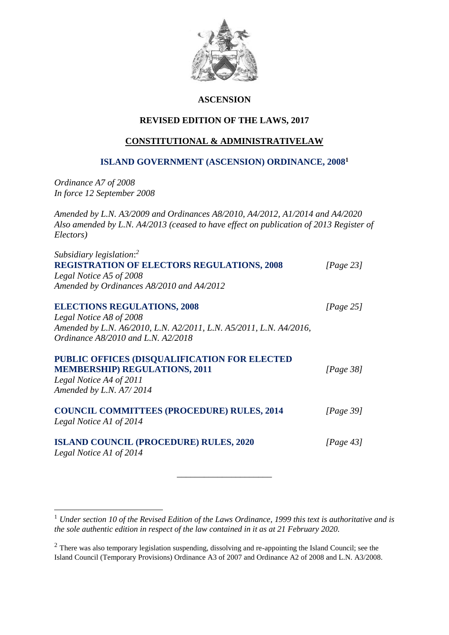

# **ASCENSION**

# **REVISED EDITION OF THE LAWS, 2017**

# **CONSTITUTIONAL & ADMINISTRATIVELAW**

# **ISLAND GOVERNMENT (ASCENSION) ORDINANCE, 2008<sup>1</sup>**

*Ordinance A7 of 2008 In force 12 September 2008*

1

*Amended by L.N. A3/2009 and Ordinances A8/2010, A4/2012, A1/2014 and A4/2020 Also amended by L.N. A4/2013 (ceased to have effect on publication of 2013 Register of Electors)*

| Subsidiary legislation: <sup>2</sup>                               |              |
|--------------------------------------------------------------------|--------------|
| <b>REGISTRATION OF ELECTORS REGULATIONS, 2008</b>                  | [Page 23]    |
| Legal Notice A5 of 2008                                            |              |
| Amended by Ordinances A8/2010 and A4/2012                          |              |
| <b>ELECTIONS REGULATIONS, 2008</b>                                 | [Page 25]    |
| Legal Notice A8 of 2008                                            |              |
| Amended by L.N. A6/2010, L.N. A2/2011, L.N. A5/2011, L.N. A4/2016, |              |
| Ordinance A8/2010 and L.N. A2/2018                                 |              |
| PUBLIC OFFICES (DISQUALIFICATION FOR ELECTED                       |              |
| <b>MEMBERSHIP) REGULATIONS, 2011</b>                               | [Page $38$ ] |
| Legal Notice A4 of 2011                                            |              |
| Amended by L.N. A7/2014                                            |              |
| <b>COUNCIL COMMITTEES (PROCEDURE) RULES, 2014</b>                  | [Page 39]    |
| Legal Notice A1 of 2014                                            |              |
| <b>ISLAND COUNCIL (PROCEDURE) RULES, 2020</b>                      | [Page 43]    |
| Legal Notice A1 of 2014                                            |              |
|                                                                    |              |

\_\_\_\_\_\_\_\_\_\_\_\_\_\_\_\_\_\_\_\_\_

<sup>1</sup> *Under section 10 of the Revised Edition of the Laws Ordinance, 1999 this text is authoritative and is the sole authentic edition in respect of the law contained in it as at 21 February 2020.*

<sup>&</sup>lt;sup>2</sup> There was also temporary legislation suspending, dissolving and re-appointing the Island Council; see the Island Council (Temporary Provisions) Ordinance A3 of 2007 and Ordinance A2 of 2008 and L.N. A3/2008.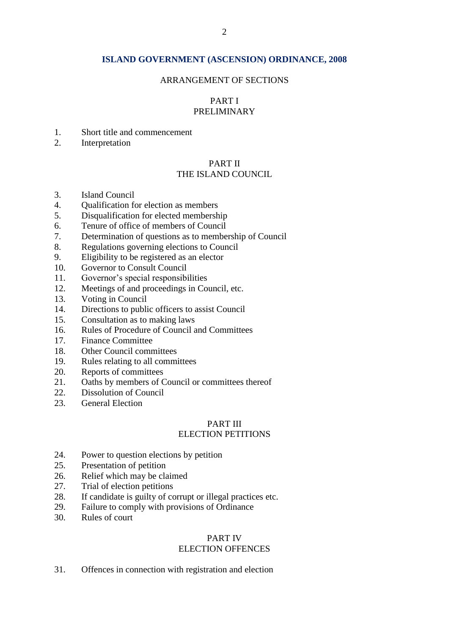#### **ISLAND GOVERNMENT (ASCENSION) ORDINANCE, 2008**

#### ARRANGEMENT OF SECTIONS

#### PART I PRELIMINARY

- 1. Short title and commencement
- 2. Interpretation

#### PART II THE ISLAND COUNCIL

- 3. Island Council
- 4. Qualification for election as members
- 5. Disqualification for elected membership
- 6. Tenure of office of members of Council
- 7. Determination of questions as to membership of Council
- 8. Regulations governing elections to Council
- 9. Eligibility to be registered as an elector
- 10. Governor to Consult Council
- 11. Governor's special responsibilities
- 12. Meetings of and proceedings in Council, etc.
- 13. Voting in Council
- 14. Directions to public officers to assist Council
- 15. Consultation as to making laws
- 16. Rules of Procedure of Council and Committees
- 17. Finance Committee
- 18. Other Council committees
- 19. Rules relating to all committees
- 20. Reports of committees
- 21. Oaths by members of Council or committees thereof
- 22. Dissolution of Council
- 23. General Election

#### PART III

# ELECTION PETITIONS

- 24. Power to question elections by petition
- 25. Presentation of petition
- 26. Relief which may be claimed
- 27. Trial of election petitions
- 28. If candidate is guilty of corrupt or illegal practices etc.
- 29. Failure to comply with provisions of Ordinance
- 30. Rules of court

#### PART IV

# ELECTION OFFENCES

31. Offences in connection with registration and election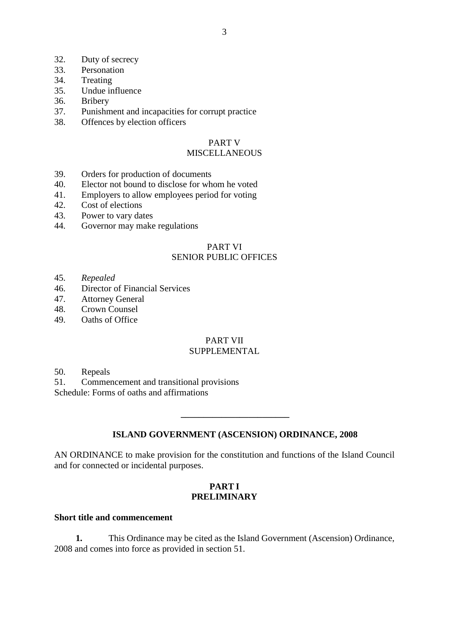- 32. Duty of secrecy
- 33. Personation
- 34. Treating
- 35. Undue influence
- 36. Bribery
- 37. Punishment and incapacities for corrupt practice
- 38. Offences by election officers

# PART V

# MISCELLANEOUS

- 39. Orders for production of documents
- 40. Elector not bound to disclose for whom he voted
- 41. Employers to allow employees period for voting
- 42. Cost of elections
- 43. Power to vary dates
- 44. Governor may make regulations

## PART VI SENIOR PUBLIC OFFICES

- 45. *Repealed*
- 46. Director of Financial Services
- 47. Attorney General
- 48. Crown Counsel
- 49. Oaths of Office

# PART VII

# **SUPPLEMENTAL**

50. Repeals

51. Commencement and transitional provisions Schedule: Forms of oaths and affirmations

#### **ISLAND GOVERNMENT (ASCENSION) ORDINANCE, 2008**

**\_\_\_\_\_\_\_\_\_\_\_\_\_\_\_\_\_\_\_\_\_\_\_\_**

AN ORDINANCE to make provision for the constitution and functions of the Island Council and for connected or incidental purposes.

#### **PART I PRELIMINARY**

#### **Short title and commencement**

**1.** This Ordinance may be cited as the Island Government (Ascension) Ordinance, 2008 and comes into force as provided in section 51.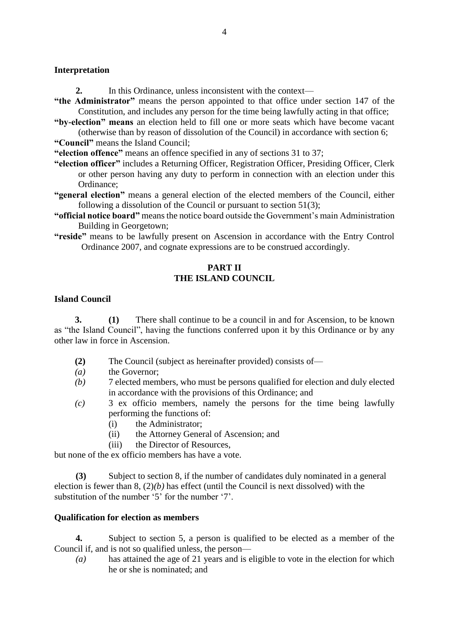#### **Interpretation**

- **2.** In this Ordinance, unless inconsistent with the context—
- **"the Administrator"** means the person appointed to that office under section 147 of the Constitution, and includes any person for the time being lawfully acting in that office;
- **"by-election" means** an election held to fill one or more seats which have become vacant (otherwise than by reason of dissolution of the Council) in accordance with section 6;
- **"Council"** means the Island Council;

**"election offence"** means an offence specified in any of sections 31 to 37;

- **"election officer"** includes a Returning Officer, Registration Officer, Presiding Officer, Clerk or other person having any duty to perform in connection with an election under this Ordinance;
- **"general election"** means a general election of the elected members of the Council, either following a dissolution of the Council or pursuant to section 51(3);
- **"official notice board"** means the notice board outside the Government's main Administration Building in Georgetown;
- **"reside"** means to be lawfully present on Ascension in accordance with the Entry Control Ordinance 2007, and cognate expressions are to be construed accordingly.

## **PART II THE ISLAND COUNCIL**

#### **Island Council**

**3. (1)** There shall continue to be a council in and for Ascension, to be known as "the Island Council", having the functions conferred upon it by this Ordinance or by any other law in force in Ascension.

- **(2)** The Council (subject as hereinafter provided) consists of—
- *(a)* the Governor;
- *(b)* 7 elected members, who must be persons qualified for election and duly elected in accordance with the provisions of this Ordinance; and
- *(c)* 3 ex officio members, namely the persons for the time being lawfully performing the functions of:
	- (i) the Administrator;
	- (ii) the Attorney General of Ascension; and
	- (iii) the Director of Resources,

but none of the ex officio members has have a vote.

**(3)** Subject to section 8, if the number of candidates duly nominated in a general election is fewer than 8, (2)*(b)* has effect (until the Council is next dissolved) with the substitution of the number '5' for the number '7'.

#### **Qualification for election as members**

**4.** Subject to section 5, a person is qualified to be elected as a member of the Council if, and is not so qualified unless, the person—

*(a)* has attained the age of 21 years and is eligible to vote in the election for which he or she is nominated; and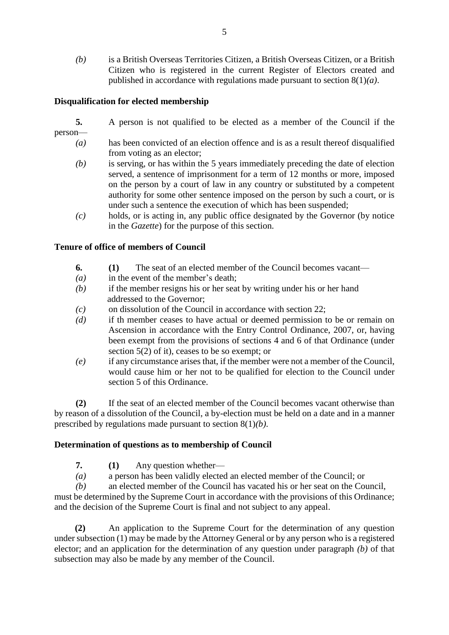*(b)* is a British Overseas Territories Citizen, a British Overseas Citizen, or a British Citizen who is registered in the current Register of Electors created and published in accordance with regulations made pursuant to section 8(1)*(a)*.

# **Disqualification for elected membership**

- **5.** A person is not qualified to be elected as a member of the Council if the person—
	- *(a)* has been convicted of an election offence and is as a result thereof disqualified from voting as an elector;
	- *(b)* is serving, or has within the 5 years immediately preceding the date of election served, a sentence of imprisonment for a term of 12 months or more, imposed on the person by a court of law in any country or substituted by a competent authority for some other sentence imposed on the person by such a court, or is under such a sentence the execution of which has been suspended;
	- *(c)* holds, or is acting in, any public office designated by the Governor (by notice in the *Gazette*) for the purpose of this section.

#### **Tenure of office of members of Council**

- **6. (1)** The seat of an elected member of the Council becomes vacant—
- *(a)* in the event of the member's death;
- *(b)* if the member resigns his or her seat by writing under his or her hand addressed to the Governor:
- *(c)* on dissolution of the Council in accordance with section 22;
- *(d)* if th member ceases to have actual or deemed permission to be or remain on Ascension in accordance with the Entry Control Ordinance, 2007, or, having been exempt from the provisions of sections 4 and 6 of that Ordinance (under section 5(2) of it), ceases to be so exempt; or
- *(e)* if any circumstance arises that, if the member were not a member of the Council, would cause him or her not to be qualified for election to the Council under section 5 of this Ordinance.

**(2)** If the seat of an elected member of the Council becomes vacant otherwise than by reason of a dissolution of the Council, a by-election must be held on a date and in a manner prescribed by regulations made pursuant to section 8(1)*(b)*.

#### **Determination of questions as to membership of Council**

- **7. (1)** Any question whether—
- *(a)* a person has been validly elected an elected member of the Council; or

*(b)* an elected member of the Council has vacated his or her seat on the Council, must be determined by the Supreme Court in accordance with the provisions of this Ordinance; and the decision of the Supreme Court is final and not subject to any appeal.

**(2)** An application to the Supreme Court for the determination of any question under subsection (1) may be made by the Attorney General or by any person who is a registered elector; and an application for the determination of any question under paragraph *(b)* of that subsection may also be made by any member of the Council.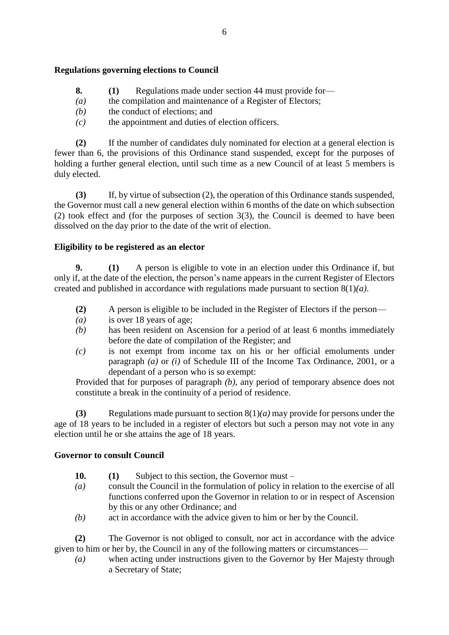# **Regulations governing elections to Council**

- **8. (1)** Regulations made under section 44 must provide for—
- *(a)* the compilation and maintenance of a Register of Electors;
- *(b)* the conduct of elections; and
- *(c)* the appointment and duties of election officers.

**(2)** If the number of candidates duly nominated for election at a general election is fewer than 6, the provisions of this Ordinance stand suspended, except for the purposes of holding a further general election, until such time as a new Council of at least 5 members is duly elected.

**(3)** If, by virtue of subsection (2), the operation of this Ordinance stands suspended, the Governor must call a new general election within 6 months of the date on which subsection (2) took effect and (for the purposes of section 3(3), the Council is deemed to have been dissolved on the day prior to the date of the writ of election.

## **Eligibility to be registered as an elector**

**9. (1)** A person is eligible to vote in an election under this Ordinance if, but only if, at the date of the election, the person's name appears in the current Register of Electors created and published in accordance with regulations made pursuant to section 8(1)*(a)*.

- **(2)** A person is eligible to be included in the Register of Electors if the person—
- *(a)* is over 18 years of age;
- *(b)* has been resident on Ascension for a period of at least 6 months immediately before the date of compilation of the Register; and
- *(c)* is not exempt from income tax on his or her official emoluments under paragraph *(a)* or *(i)* of Schedule III of the Income Tax Ordinance, 2001, or a dependant of a person who is so exempt:

Provided that for purposes of paragraph *(b)*, any period of temporary absence does not constitute a break in the continuity of a period of residence.

**(3)** Regulations made pursuant to section 8(1)*(a)* may provide for persons under the age of 18 years to be included in a register of electors but such a person may not vote in any election until he or she attains the age of 18 years.

# **Governor to consult Council**

- **10. (1)** Subject to this section, the Governor must –
- *(a)* consult the Council in the formulation of policy in relation to the exercise of all functions conferred upon the Governor in relation to or in respect of Ascension by this or any other Ordinance; and
- *(b)* act in accordance with the advice given to him or her by the Council.

**(2)** The Governor is not obliged to consult, nor act in accordance with the advice given to him or her by, the Council in any of the following matters or circumstances—

*(a)* when acting under instructions given to the Governor by Her Majesty through a Secretary of State;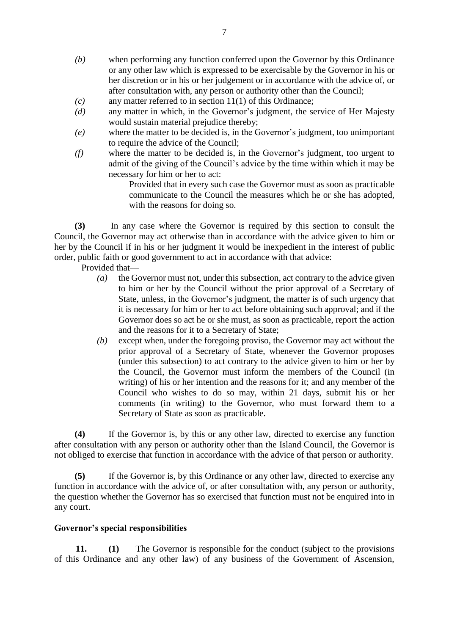- *(b)* when performing any function conferred upon the Governor by this Ordinance or any other law which is expressed to be exercisable by the Governor in his or her discretion or in his or her judgement or in accordance with the advice of, or after consultation with, any person or authority other than the Council;
- *(c)* any matter referred to in section 11(1) of this Ordinance;
- *(d)* any matter in which, in the Governor's judgment, the service of Her Majesty would sustain material prejudice thereby;
- *(e)* where the matter to be decided is, in the Governor's judgment, too unimportant to require the advice of the Council;
- *(f)* where the matter to be decided is, in the Governor's judgment, too urgent to admit of the giving of the Council's advice by the time within which it may be necessary for him or her to act:

Provided that in every such case the Governor must as soon as practicable communicate to the Council the measures which he or she has adopted, with the reasons for doing so.

 **(3)** In any case where the Governor is required by this section to consult the Council, the Governor may act otherwise than in accordance with the advice given to him or her by the Council if in his or her judgment it would be inexpedient in the interest of public order, public faith or good government to act in accordance with that advice:

Provided that—

- *(a)* the Governor must not, under this subsection, act contrary to the advice given to him or her by the Council without the prior approval of a Secretary of State, unless, in the Governor's judgment, the matter is of such urgency that it is necessary for him or her to act before obtaining such approval; and if the Governor does so act he or she must, as soon as practicable, report the action and the reasons for it to a Secretary of State;
- *(b)* except when, under the foregoing proviso, the Governor may act without the prior approval of a Secretary of State, whenever the Governor proposes (under this subsection) to act contrary to the advice given to him or her by the Council, the Governor must inform the members of the Council (in writing) of his or her intention and the reasons for it; and any member of the Council who wishes to do so may, within 21 days, submit his or her comments (in writing) to the Governor, who must forward them to a Secretary of State as soon as practicable.

**(4)** If the Governor is, by this or any other law, directed to exercise any function after consultation with any person or authority other than the Island Council, the Governor is not obliged to exercise that function in accordance with the advice of that person or authority.

**(5)** If the Governor is, by this Ordinance or any other law, directed to exercise any function in accordance with the advice of, or after consultation with, any person or authority, the question whether the Governor has so exercised that function must not be enquired into in any court.

#### **Governor's special responsibilities**

**11. (1)** The Governor is responsible for the conduct (subject to the provisions of this Ordinance and any other law) of any business of the Government of Ascension,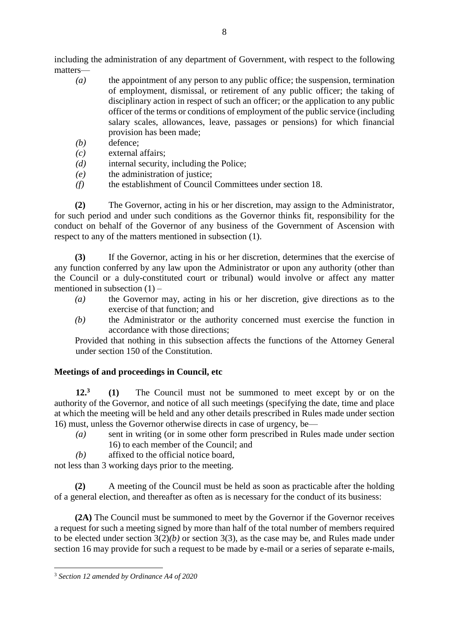including the administration of any department of Government, with respect to the following matters—

- *(a)* the appointment of any person to any public office; the suspension, termination of employment, dismissal, or retirement of any public officer; the taking of disciplinary action in respect of such an officer; or the application to any public officer of the terms or conditions of employment of the public service (including salary scales, allowances, leave, passages or pensions) for which financial provision has been made;
- *(b)* defence;
- *(c)* external affairs;
- *(d)* internal security, including the Police;
- *(e)* the administration of justice;
- *(f)* the establishment of Council Committees under section 18.

**(2)** The Governor, acting in his or her discretion, may assign to the Administrator, for such period and under such conditions as the Governor thinks fit, responsibility for the conduct on behalf of the Governor of any business of the Government of Ascension with respect to any of the matters mentioned in subsection (1).

**(3)** If the Governor, acting in his or her discretion, determines that the exercise of any function conferred by any law upon the Administrator or upon any authority (other than the Council or a duly-constituted court or tribunal) would involve or affect any matter mentioned in subsection  $(1)$  –

- *(a)* the Governor may, acting in his or her discretion, give directions as to the exercise of that function; and
- *(b)* the Administrator or the authority concerned must exercise the function in accordance with those directions;

Provided that nothing in this subsection affects the functions of the Attorney General under section 150 of the Constitution.

# **Meetings of and proceedings in Council, etc**

**12.<sup>3</sup> (1)** The Council must not be summoned to meet except by or on the authority of the Governor, and notice of all such meetings (specifying the date, time and place at which the meeting will be held and any other details prescribed in Rules made under section 16) must, unless the Governor otherwise directs in case of urgency, be—

- *(a)* sent in writing (or in some other form prescribed in Rules made under section 16) to each member of the Council; and
- *(b)* affixed to the official notice board,

not less than 3 working days prior to the meeting.

**(2)** A meeting of the Council must be held as soon as practicable after the holding of a general election, and thereafter as often as is necessary for the conduct of its business:

**(2A)** The Council must be summoned to meet by the Governor if the Governor receives a request for such a meeting signed by more than half of the total number of members required to be elected under section 3(2)*(b)* or section 3(3), as the case may be, and Rules made under section 16 may provide for such a request to be made by e-mail or a series of separate e-mails,

1

<sup>3</sup> *Section 12 amended by Ordinance A4 of 2020*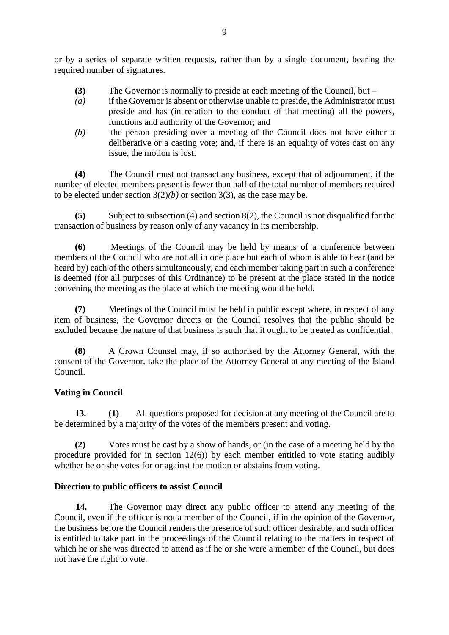or by a series of separate written requests, rather than by a single document, bearing the required number of signatures.

- **(3)** The Governor is normally to preside at each meeting of the Council, but –
- *(a)* if the Governor is absent or otherwise unable to preside, the Administrator must preside and has (in relation to the conduct of that meeting) all the powers, functions and authority of the Governor; and
- *(b)* the person presiding over a meeting of the Council does not have either a deliberative or a casting vote; and, if there is an equality of votes cast on any issue, the motion is lost.

**(4)** The Council must not transact any business, except that of adjournment, if the number of elected members present is fewer than half of the total number of members required to be elected under section  $3(2)(b)$  or section  $3(3)$ , as the case may be.

**(5)** Subject to subsection (4) and section 8(2), the Council is not disqualified for the transaction of business by reason only of any vacancy in its membership.

**(6)** Meetings of the Council may be held by means of a conference between members of the Council who are not all in one place but each of whom is able to hear (and be heard by) each of the others simultaneously, and each member taking part in such a conference is deemed (for all purposes of this Ordinance) to be present at the place stated in the notice convening the meeting as the place at which the meeting would be held.

**(7)** Meetings of the Council must be held in public except where, in respect of any item of business, the Governor directs or the Council resolves that the public should be excluded because the nature of that business is such that it ought to be treated as confidential.

**(8)** A Crown Counsel may, if so authorised by the Attorney General, with the consent of the Governor, take the place of the Attorney General at any meeting of the Island Council.

# **Voting in Council**

**13. (1)** All questions proposed for decision at any meeting of the Council are to be determined by a majority of the votes of the members present and voting.

**(2)** Votes must be cast by a show of hands, or (in the case of a meeting held by the procedure provided for in section  $12(6)$ ) by each member entitled to vote stating audibly whether he or she votes for or against the motion or abstains from voting.

# **Direction to public officers to assist Council**

**14.** The Governor may direct any public officer to attend any meeting of the Council, even if the officer is not a member of the Council, if in the opinion of the Governor, the business before the Council renders the presence of such officer desirable; and such officer is entitled to take part in the proceedings of the Council relating to the matters in respect of which he or she was directed to attend as if he or she were a member of the Council, but does not have the right to vote.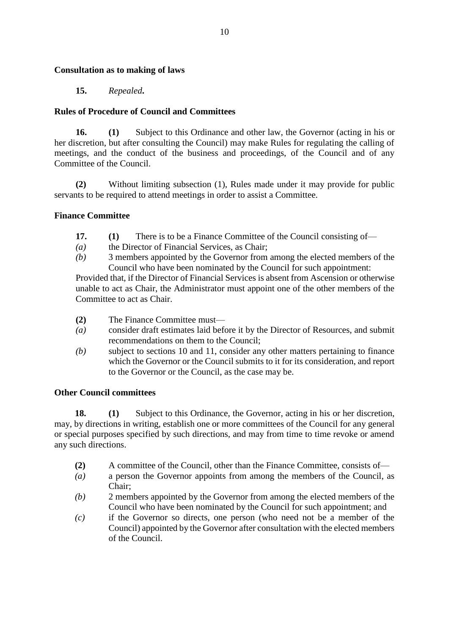#### **Consultation as to making of laws**

# **15.** *Repealed***.**

# **Rules of Procedure of Council and Committees**

**16. (1)** Subject to this Ordinance and other law, the Governor (acting in his or her discretion, but after consulting the Council) may make Rules for regulating the calling of meetings, and the conduct of the business and proceedings, of the Council and of any Committee of the Council.

**(2)** Without limiting subsection (1), Rules made under it may provide for public servants to be required to attend meetings in order to assist a Committee.

## **Finance Committee**

- **17. (1)** There is to be a Finance Committee of the Council consisting of—
- *(a)* the Director of Financial Services, as Chair;
- *(b)* 3 members appointed by the Governor from among the elected members of the Council who have been nominated by the Council for such appointment:

Provided that, if the Director of Financial Services is absent from Ascension or otherwise unable to act as Chair, the Administrator must appoint one of the other members of the Committee to act as Chair.

- **(2)** The Finance Committee must—
- *(a)* consider draft estimates laid before it by the Director of Resources, and submit recommendations on them to the Council;
- *(b)* subject to sections 10 and 11, consider any other matters pertaining to finance which the Governor or the Council submits to it for its consideration, and report to the Governor or the Council, as the case may be.

#### **Other Council committees**

**18. (1)** Subject to this Ordinance, the Governor, acting in his or her discretion, may, by directions in writing, establish one or more committees of the Council for any general or special purposes specified by such directions, and may from time to time revoke or amend any such directions.

- **(2)** A committee of the Council, other than the Finance Committee, consists of—
- *(a)* a person the Governor appoints from among the members of the Council, as Chair;
- *(b)* 2 members appointed by the Governor from among the elected members of the Council who have been nominated by the Council for such appointment; and
- *(c)* if the Governor so directs, one person (who need not be a member of the Council) appointed by the Governor after consultation with the elected members of the Council.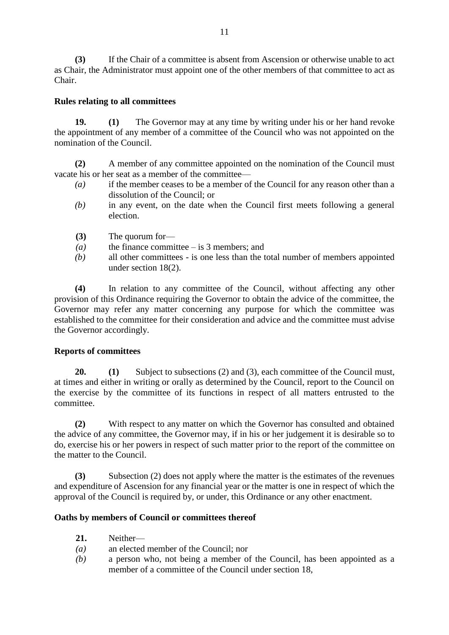**(3)** If the Chair of a committee is absent from Ascension or otherwise unable to act as Chair, the Administrator must appoint one of the other members of that committee to act as Chair.

# **Rules relating to all committees**

**19. (1)** The Governor may at any time by writing under his or her hand revoke the appointment of any member of a committee of the Council who was not appointed on the nomination of the Council.

**(2)** A member of any committee appointed on the nomination of the Council must vacate his or her seat as a member of the committee—

- *(a)* if the member ceases to be a member of the Council for any reason other than a dissolution of the Council; or
- *(b)* in any event, on the date when the Council first meets following a general election.
- **(3)** The quorum for—
- *(a)* the finance committee is 3 members; and
- *(b)* all other committees is one less than the total number of members appointed under section 18(2).

**(4)** In relation to any committee of the Council, without affecting any other provision of this Ordinance requiring the Governor to obtain the advice of the committee, the Governor may refer any matter concerning any purpose for which the committee was established to the committee for their consideration and advice and the committee must advise the Governor accordingly.

#### **Reports of committees**

**20. (1)** Subject to subsections (2) and (3), each committee of the Council must, at times and either in writing or orally as determined by the Council, report to the Council on the exercise by the committee of its functions in respect of all matters entrusted to the committee.

**(2)** With respect to any matter on which the Governor has consulted and obtained the advice of any committee, the Governor may, if in his or her judgement it is desirable so to do, exercise his or her powers in respect of such matter prior to the report of the committee on the matter to the Council.

**(3)** Subsection (2) does not apply where the matter is the estimates of the revenues and expenditure of Ascension for any financial year or the matter is one in respect of which the approval of the Council is required by, or under, this Ordinance or any other enactment.

#### **Oaths by members of Council or committees thereof**

- **21.** Neither—
- *(a)* an elected member of the Council; nor
- *(b)* a person who, not being a member of the Council, has been appointed as a member of a committee of the Council under section 18,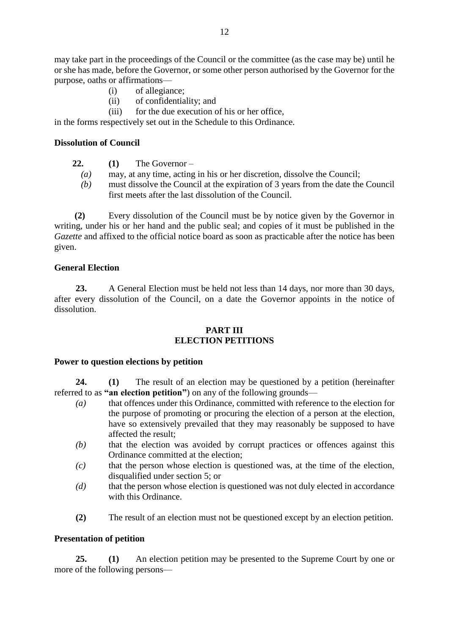may take part in the proceedings of the Council or the committee (as the case may be) until he or she has made, before the Governor, or some other person authorised by the Governor for the purpose, oaths or affirmations—

- (i) of allegiance;
- (ii) of confidentiality; and
- (iii) for the due execution of his or her office,

in the forms respectively set out in the Schedule to this Ordinance.

#### **Dissolution of Council**

- **22. (1)** The Governor
	- *(a)* may, at any time, acting in his or her discretion, dissolve the Council;
	- *(b)* must dissolve the Council at the expiration of 3 years from the date the Council first meets after the last dissolution of the Council.

 **(2)** Every dissolution of the Council must be by notice given by the Governor in writing, under his or her hand and the public seal; and copies of it must be published in the *Gazette* and affixed to the official notice board as soon as practicable after the notice has been given.

#### **General Election**

**23.** A General Election must be held not less than 14 days, nor more than 30 days, after every dissolution of the Council, on a date the Governor appoints in the notice of dissolution.

## **PART III ELECTION PETITIONS**

#### **Power to question elections by petition**

**24. (1)** The result of an election may be questioned by a petition (hereinafter referred to as **"an election petition"**) on any of the following grounds—

- *(a)* that offences under this Ordinance, committed with reference to the election for the purpose of promoting or procuring the election of a person at the election, have so extensively prevailed that they may reasonably be supposed to have affected the result;
- *(b)* that the election was avoided by corrupt practices or offences against this Ordinance committed at the election;
- *(c)* that the person whose election is questioned was, at the time of the election, disqualified under section 5; or
- *(d)* that the person whose election is questioned was not duly elected in accordance with this Ordinance.
- **(2)** The result of an election must not be questioned except by an election petition.

#### **Presentation of petition**

**25. (1)** An election petition may be presented to the Supreme Court by one or more of the following persons—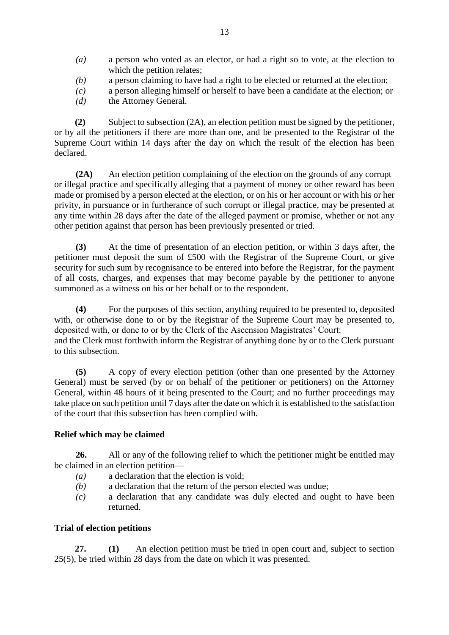- *(a)* a person who voted as an elector, or had a right so to vote, at the election to which the petition relates;
- *(b)* a person claiming to have had a right to be elected or returned at the election;
- *(c)* a person alleging himself or herself to have been a candidate at the election; or
- *(d)* the Attorney General.

**(2)** Subject to subsection (2A), an election petition must be signed by the petitioner, or by all the petitioners if there are more than one, and be presented to the Registrar of the Supreme Court within 14 days after the day on which the result of the election has been declared.

**(2A)** An election petition complaining of the election on the grounds of any corrupt or illegal practice and specifically alleging that a payment of money or other reward has been made or promised by a person elected at the election, or on his or her account or with his or her privity, in pursuance or in furtherance of such corrupt or illegal practice, may be presented at any time within 28 days after the date of the alleged payment or promise, whether or not any other petition against that person has been previously presented or tried.

**(3)** At the time of presentation of an election petition, or within 3 days after, the petitioner must deposit the sum of £500 with the Registrar of the Supreme Court, or give security for such sum by recognisance to be entered into before the Registrar, for the payment of all costs, charges, and expenses that may become payable by the petitioner to anyone summoned as a witness on his or her behalf or to the respondent.

**(4)** For the purposes of this section, anything required to be presented to, deposited with, or otherwise done to or by the Registrar of the Supreme Court may be presented to, deposited with, or done to or by the Clerk of the Ascension Magistrates' Court: and the Clerk must forthwith inform the Registrar of anything done by or to the Clerk pursuant to this subsection.

**(5)** A copy of every election petition (other than one presented by the Attorney General) must be served (by or on behalf of the petitioner or petitioners) on the Attorney General, within 48 hours of it being presented to the Court; and no further proceedings may take place on such petition until 7 days after the date on which it is established to the satisfaction of the court that this subsection has been complied with.

# **Relief which may be claimed**

**26.** All or any of the following relief to which the petitioner might be entitled may be claimed in an election petition—

- *(a)* a declaration that the election is void;
- *(b)* a declaration that the return of the person elected was undue;
- *(c)* a declaration that any candidate was duly elected and ought to have been returned.

#### **Trial of election petitions**

**27. (1)** An election petition must be tried in open court and, subject to section 25(5), be tried within 28 days from the date on which it was presented.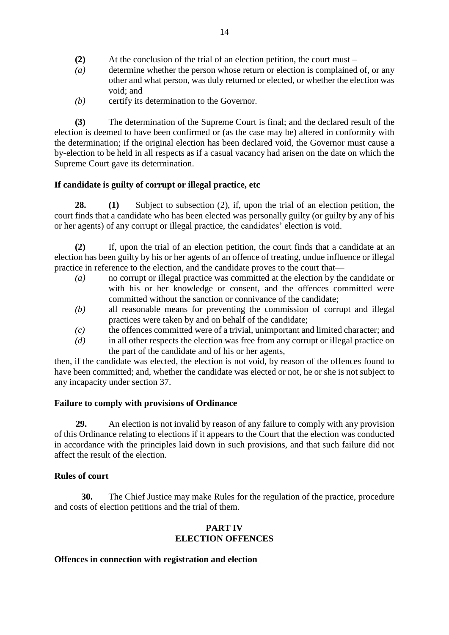- **(2)** At the conclusion of the trial of an election petition, the court must –
- *(a)* determine whether the person whose return or election is complained of, or any other and what person, was duly returned or elected, or whether the election was void; and
- *(b)* certify its determination to the Governor.

**(3)** The determination of the Supreme Court is final; and the declared result of the election is deemed to have been confirmed or (as the case may be) altered in conformity with the determination; if the original election has been declared void, the Governor must cause a by-election to be held in all respects as if a casual vacancy had arisen on the date on which the Supreme Court gave its determination.

# **If candidate is guilty of corrupt or illegal practice, etc**

**28. (1)** Subject to subsection (2), if, upon the trial of an election petition, the court finds that a candidate who has been elected was personally guilty (or guilty by any of his or her agents) of any corrupt or illegal practice, the candidates' election is void.

**(2)** If, upon the trial of an election petition, the court finds that a candidate at an election has been guilty by his or her agents of an offence of treating, undue influence or illegal practice in reference to the election, and the candidate proves to the court that—

- *(a)* no corrupt or illegal practice was committed at the election by the candidate or with his or her knowledge or consent, and the offences committed were committed without the sanction or connivance of the candidate;
- *(b)* all reasonable means for preventing the commission of corrupt and illegal practices were taken by and on behalf of the candidate;
- *(c)* the offences committed were of a trivial, unimportant and limited character; and
- *(d)* in all other respects the election was free from any corrupt or illegal practice on the part of the candidate and of his or her agents,

then, if the candidate was elected, the election is not void, by reason of the offences found to have been committed; and, whether the candidate was elected or not, he or she is not subject to any incapacity under section 37.

# **Failure to comply with provisions of Ordinance**

**29.** An election is not invalid by reason of any failure to comply with any provision of this Ordinance relating to elections if it appears to the Court that the election was conducted in accordance with the principles laid down in such provisions, and that such failure did not affect the result of the election.

# **Rules of court**

**30.** The Chief Justice may make Rules for the regulation of the practice, procedure and costs of election petitions and the trial of them.

# **PART IV ELECTION OFFENCES**

# **Offences in connection with registration and election**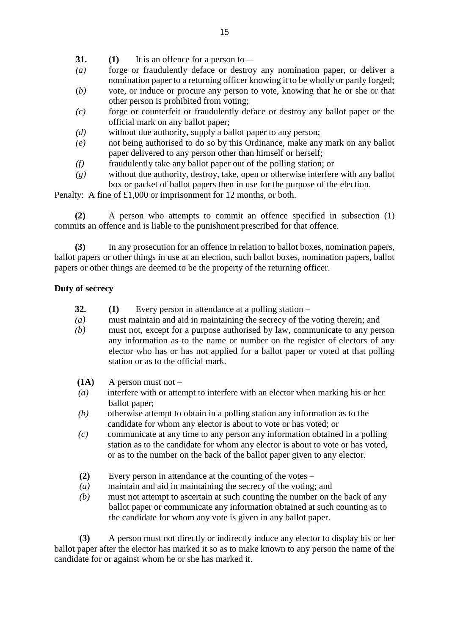- **31. (1)** It is an offence for a person to—
- *(a)* forge or fraudulently deface or destroy any nomination paper, or deliver a nomination paper to a returning officer knowing it to be wholly or partly forged;
- (*b)* vote, or induce or procure any person to vote, knowing that he or she or that other person is prohibited from voting;
- *(c)* forge or counterfeit or fraudulently deface or destroy any ballot paper or the official mark on any ballot paper;
- *(d)* without due authority, supply a ballot paper to any person;
- *(e)* not being authorised to do so by this Ordinance, make any mark on any ballot paper delivered to any person other than himself or herself;
- *(f)* fraudulently take any ballot paper out of the polling station; or
- *(g)* without due authority, destroy, take, open or otherwise interfere with any ballot box or packet of ballot papers then in use for the purpose of the election.

Penalty: A fine of £1,000 or imprisonment for 12 months, or both.

**(2)** A person who attempts to commit an offence specified in subsection (1) commits an offence and is liable to the punishment prescribed for that offence.

**(3)** In any prosecution for an offence in relation to ballot boxes, nomination papers, ballot papers or other things in use at an election, such ballot boxes, nomination papers, ballot papers or other things are deemed to be the property of the returning officer.

## **Duty of secrecy**

- **32. (1)** Every person in attendance at a polling station –
- *(a)* must maintain and aid in maintaining the secrecy of the voting therein; and
- *(b)* must not, except for a purpose authorised by law, communicate to any person any information as to the name or number on the register of electors of any elector who has or has not applied for a ballot paper or voted at that polling station or as to the official mark.
- **(1A)** A person must not –
- *(a)* interfere with or attempt to interfere with an elector when marking his or her ballot paper;
- *(b)* otherwise attempt to obtain in a polling station any information as to the candidate for whom any elector is about to vote or has voted; or
- *(c)* communicate at any time to any person any information obtained in a polling station as to the candidate for whom any elector is about to vote or has voted, or as to the number on the back of the ballot paper given to any elector.
- **(2)** Every person in attendance at the counting of the votes –
- *(a)* maintain and aid in maintaining the secrecy of the voting; and
- *(b)* must not attempt to ascertain at such counting the number on the back of any ballot paper or communicate any information obtained at such counting as to the candidate for whom any vote is given in any ballot paper.

 **(3)** A person must not directly or indirectly induce any elector to display his or her ballot paper after the elector has marked it so as to make known to any person the name of the candidate for or against whom he or she has marked it.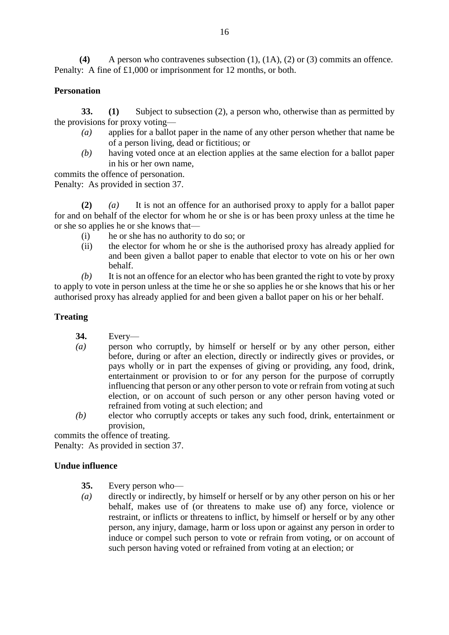**(4)** A person who contravenes subsection (1), (1A), (2) or (3) commits an offence. Penalty: A fine of £1,000 or imprisonment for 12 months, or both.

# **Personation**

**33. (1)** Subject to subsection (2), a person who, otherwise than as permitted by the provisions for proxy voting—

- *(a)* applies for a ballot paper in the name of any other person whether that name be of a person living, dead or fictitious; or
- *(b)* having voted once at an election applies at the same election for a ballot paper in his or her own name,

commits the offence of personation.

Penalty: As provided in section 37.

**(2)** *(a)* It is not an offence for an authorised proxy to apply for a ballot paper for and on behalf of the elector for whom he or she is or has been proxy unless at the time he or she so applies he or she knows that—

- (i) he or she has no authority to do so; or
- (ii) the elector for whom he or she is the authorised proxy has already applied for and been given a ballot paper to enable that elector to vote on his or her own behalf.

*(b)* It is not an offence for an elector who has been granted the right to vote by proxy to apply to vote in person unless at the time he or she so applies he or she knows that his or her authorised proxy has already applied for and been given a ballot paper on his or her behalf.

#### **Treating**

- **34.** Every—
- *(a)* person who corruptly, by himself or herself or by any other person, either before, during or after an election, directly or indirectly gives or provides, or pays wholly or in part the expenses of giving or providing, any food, drink, entertainment or provision to or for any person for the purpose of corruptly influencing that person or any other person to vote or refrain from voting at such election, or on account of such person or any other person having voted or refrained from voting at such election; and
- *(b)* elector who corruptly accepts or takes any such food, drink, entertainment or provision,

commits the offence of treating.

Penalty: As provided in section 37.

#### **Undue influence**

- **35.** Every person who—
- *(a)* directly or indirectly, by himself or herself or by any other person on his or her behalf, makes use of (or threatens to make use of) any force, violence or restraint, or inflicts or threatens to inflict, by himself or herself or by any other person, any injury, damage, harm or loss upon or against any person in order to induce or compel such person to vote or refrain from voting, or on account of such person having voted or refrained from voting at an election; or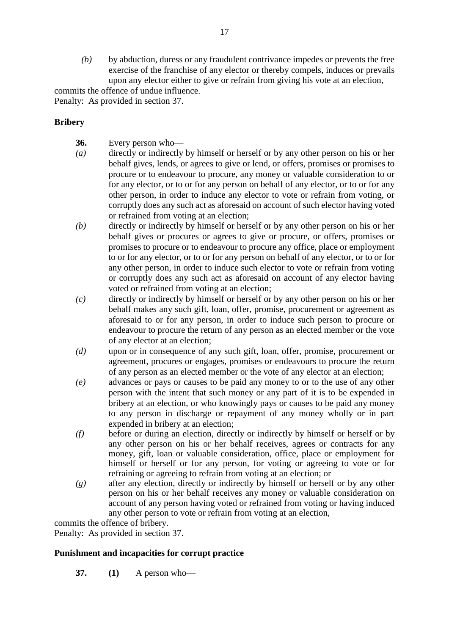*(b)* by abduction, duress or any fraudulent contrivance impedes or prevents the free exercise of the franchise of any elector or thereby compels, induces or prevails upon any elector either to give or refrain from giving his vote at an election,

commits the offence of undue influence.

Penalty: As provided in section 37.

# **Bribery**

- **36.** Every person who—
- *(a)* directly or indirectly by himself or herself or by any other person on his or her behalf gives, lends, or agrees to give or lend, or offers, promises or promises to procure or to endeavour to procure, any money or valuable consideration to or for any elector, or to or for any person on behalf of any elector, or to or for any other person, in order to induce any elector to vote or refrain from voting, or corruptly does any such act as aforesaid on account of such elector having voted or refrained from voting at an election;
- *(b)* directly or indirectly by himself or herself or by any other person on his or her behalf gives or procures or agrees to give or procure, or offers, promises or promises to procure or to endeavour to procure any office, place or employment to or for any elector, or to or for any person on behalf of any elector, or to or for any other person, in order to induce such elector to vote or refrain from voting or corruptly does any such act as aforesaid on account of any elector having voted or refrained from voting at an election;
- *(c)* directly or indirectly by himself or herself or by any other person on his or her behalf makes any such gift, loan, offer, promise, procurement or agreement as aforesaid to or for any person, in order to induce such person to procure or endeavour to procure the return of any person as an elected member or the vote of any elector at an election;
- *(d)* upon or in consequence of any such gift, loan, offer, promise, procurement or agreement, procures or engages, promises or endeavours to procure the return of any person as an elected member or the vote of any elector at an election;
- *(e)* advances or pays or causes to be paid any money to or to the use of any other person with the intent that such money or any part of it is to be expended in bribery at an election, or who knowingly pays or causes to be paid any money to any person in discharge or repayment of any money wholly or in part expended in bribery at an election;
- *(f)* before or during an election, directly or indirectly by himself or herself or by any other person on his or her behalf receives, agrees or contracts for any money, gift, loan or valuable consideration, office, place or employment for himself or herself or for any person, for voting or agreeing to vote or for refraining or agreeing to refrain from voting at an election; or
- *(g)* after any election, directly or indirectly by himself or herself or by any other person on his or her behalf receives any money or valuable consideration on account of any person having voted or refrained from voting or having induced any other person to vote or refrain from voting at an election,

commits the offence of bribery.

Penalty: As provided in section 37.

# **Punishment and incapacities for corrupt practice**

**37. (1)** A person who—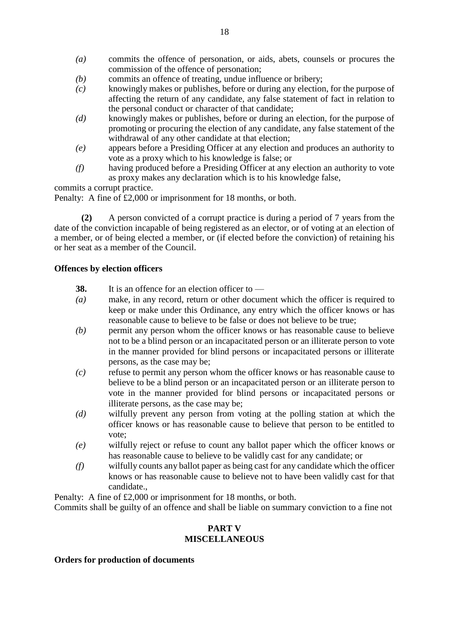- *(a)* commits the offence of personation, or aids, abets, counsels or procures the commission of the offence of personation;
- *(b)* commits an offence of treating, undue influence or bribery;
- *(c)* knowingly makes or publishes, before or during any election, for the purpose of affecting the return of any candidate, any false statement of fact in relation to the personal conduct or character of that candidate;
- *(d)* knowingly makes or publishes, before or during an election, for the purpose of promoting or procuring the election of any candidate, any false statement of the withdrawal of any other candidate at that election;
- *(e)* appears before a Presiding Officer at any election and produces an authority to vote as a proxy which to his knowledge is false; or
- *(f)* having produced before a Presiding Officer at any election an authority to vote as proxy makes any declaration which is to his knowledge false,

commits a corrupt practice.

Penalty: A fine of £2,000 or imprisonment for 18 months, or both.

**(2)** A person convicted of a corrupt practice is during a period of 7 years from the date of the conviction incapable of being registered as an elector, or of voting at an election of a member, or of being elected a member, or (if elected before the conviction) of retaining his or her seat as a member of the Council.

#### **Offences by election officers**

- **38.** It is an offence for an election officer to —
- *(a)* make, in any record, return or other document which the officer is required to keep or make under this Ordinance, any entry which the officer knows or has reasonable cause to believe to be false or does not believe to be true;
- *(b)* permit any person whom the officer knows or has reasonable cause to believe not to be a blind person or an incapacitated person or an illiterate person to vote in the manner provided for blind persons or incapacitated persons or illiterate persons, as the case may be;
- *(c)* refuse to permit any person whom the officer knows or has reasonable cause to believe to be a blind person or an incapacitated person or an illiterate person to vote in the manner provided for blind persons or incapacitated persons or illiterate persons, as the case may be;
- *(d)* wilfully prevent any person from voting at the polling station at which the officer knows or has reasonable cause to believe that person to be entitled to vote;
- *(e)* wilfully reject or refuse to count any ballot paper which the officer knows or has reasonable cause to believe to be validly cast for any candidate; or
- *(f)* wilfully counts any ballot paper as being cast for any candidate which the officer knows or has reasonable cause to believe not to have been validly cast for that candidate.,

Penalty: A fine of £2,000 or imprisonment for 18 months, or both.

Commits shall be guilty of an offence and shall be liable on summary conviction to a fine not

#### **PART V MISCELLANEOUS**

#### **Orders for production of documents**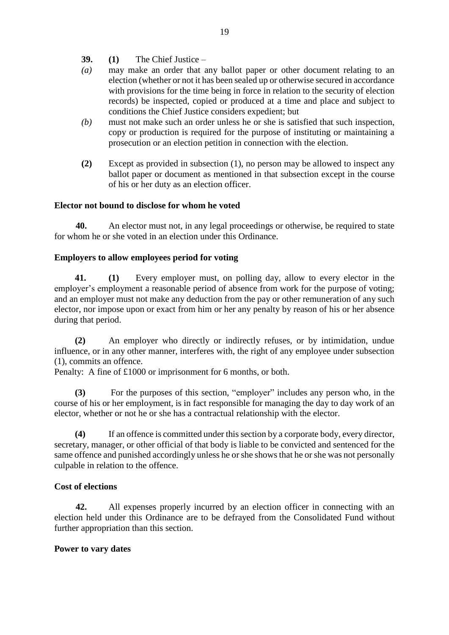- **39. (1)** The Chief Justice –
- *(a)* may make an order that any ballot paper or other document relating to an election (whether or not it has been sealed up or otherwise secured in accordance with provisions for the time being in force in relation to the security of election records) be inspected, copied or produced at a time and place and subject to conditions the Chief Justice considers expedient; but
- *(b)* must not make such an order unless he or she is satisfied that such inspection, copy or production is required for the purpose of instituting or maintaining a prosecution or an election petition in connection with the election.
- **(2)** Except as provided in subsection (1), no person may be allowed to inspect any ballot paper or document as mentioned in that subsection except in the course of his or her duty as an election officer.

#### **Elector not bound to disclose for whom he voted**

**40.** An elector must not, in any legal proceedings or otherwise, be required to state for whom he or she voted in an election under this Ordinance.

#### **Employers to allow employees period for voting**

**41. (1)** Every employer must, on polling day, allow to every elector in the employer's employment a reasonable period of absence from work for the purpose of voting; and an employer must not make any deduction from the pay or other remuneration of any such elector, nor impose upon or exact from him or her any penalty by reason of his or her absence during that period.

**(2)** An employer who directly or indirectly refuses, or by intimidation, undue influence, or in any other manner, interferes with, the right of any employee under subsection (1), commits an offence.

Penalty: A fine of £1000 or imprisonment for 6 months, or both.

**(3)** For the purposes of this section, "employer" includes any person who, in the course of his or her employment, is in fact responsible for managing the day to day work of an elector, whether or not he or she has a contractual relationship with the elector.

**(4)** If an offence is committed under this section by a corporate body, every director, secretary, manager, or other official of that body is liable to be convicted and sentenced for the same offence and punished accordingly unless he or she shows that he or she was not personally culpable in relation to the offence.

#### **Cost of elections**

**42.** All expenses properly incurred by an election officer in connecting with an election held under this Ordinance are to be defrayed from the Consolidated Fund without further appropriation than this section.

#### **Power to vary dates**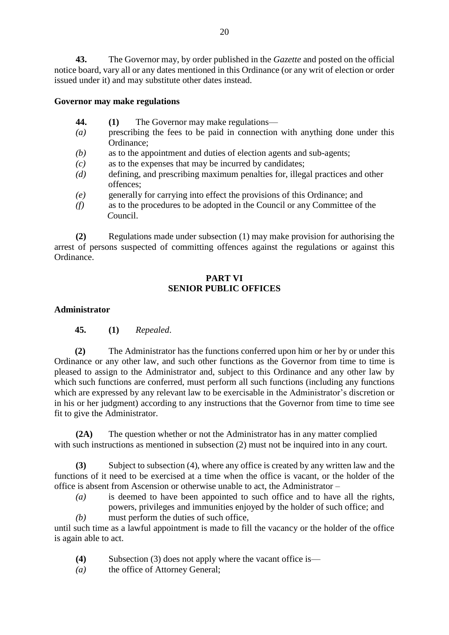**43.** The Governor may, by order published in the *Gazette* and posted on the official notice board, vary all or any dates mentioned in this Ordinance (or any writ of election or order issued under it) and may substitute other dates instead.

#### **Governor may make regulations**

- **44. (1)** The Governor may make regulations—
- *(a)* prescribing the fees to be paid in connection with anything done under this Ordinance;
- *(b)* as to the appointment and duties of election agents and sub-agents;
- *(c)* as to the expenses that may be incurred by candidates;
- *(d)* defining, and prescribing maximum penalties for, illegal practices and other offences;
- *(e)* generally for carrying into effect the provisions of this Ordinance; and
- *(f)* as to the procedures to be adopted in the Council or any Committee of the  *C*ouncil.

**(2)** Regulations made under subsection (1) may make provision for authorising the arrest of persons suspected of committing offences against the regulations or against this Ordinance.

# **PART VI SENIOR PUBLIC OFFICES**

#### **Administrator**

**45. (1)** *Repealed*.

**(2)** The Administrator has the functions conferred upon him or her by or under this Ordinance or any other law, and such other functions as the Governor from time to time is pleased to assign to the Administrator and, subject to this Ordinance and any other law by which such functions are conferred, must perform all such functions (including any functions which are expressed by any relevant law to be exercisable in the Administrator's discretion or in his or her judgment) according to any instructions that the Governor from time to time see fit to give the Administrator.

**(2A)** The question whether or not the Administrator has in any matter complied with such instructions as mentioned in subsection (2) must not be inquired into in any court.

**(3)** Subject to subsection (4), where any office is created by any written law and the functions of it need to be exercised at a time when the office is vacant, or the holder of the office is absent from Ascension or otherwise unable to act, the Administrator –

- *(a)* is deemed to have been appointed to such office and to have all the rights, powers, privileges and immunities enjoyed by the holder of such office; and
- *(b)* must perform the duties of such office,

until such time as a lawful appointment is made to fill the vacancy or the holder of the office is again able to act.

- **(4)** Subsection (3) does not apply where the vacant office is—
- *(a)* the office of Attorney General;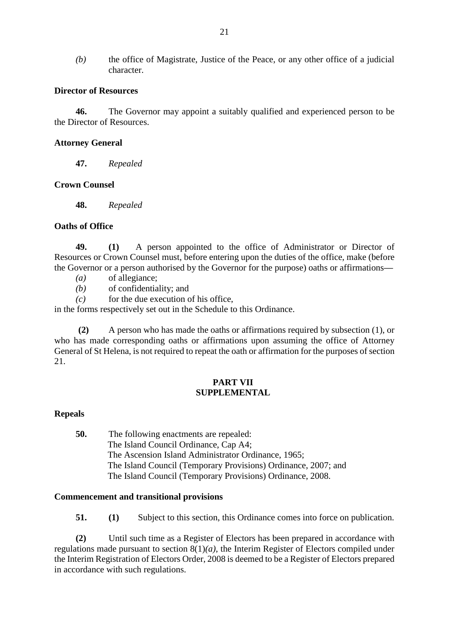*(b)* the office of Magistrate, Justice of the Peace, or any other office of a judicial character.

#### **Director of Resources**

**46.** The Governor may appoint a suitably qualified and experienced person to be the Director of Resources.

#### **Attorney General**

**47.** *Repealed*

#### **Crown Counsel**

**48.** *Repealed*

## **Oaths of Office**

**49. (1)** A person appointed to the office of Administrator or Director of Resources or Crown Counsel must, before entering upon the duties of the office, make (before the Governor or a person authorised by the Governor for the purpose) oaths or affirmations**—**

- *(a)* of allegiance;
- *(b)* of confidentiality; and
- $(c)$  for the due execution of his office,

in the forms respectively set out in the Schedule to this Ordinance.

 **(2)** A person who has made the oaths or affirmations required by subsection (1), or who has made corresponding oaths or affirmations upon assuming the office of Attorney General of St Helena, is not required to repeat the oath or affirmation for the purposes of section 21.

## **PART VII SUPPLEMENTAL**

#### **Repeals**

**50.** The following enactments are repealed: The Island Council Ordinance, Cap A4; The Ascension Island Administrator Ordinance, 1965; The Island Council (Temporary Provisions) Ordinance, 2007; and The Island Council (Temporary Provisions) Ordinance, 2008.

#### **Commencement and transitional provisions**

**51. (1)** Subject to this section, this Ordinance comes into force on publication.

**(2)** Until such time as a Register of Electors has been prepared in accordance with regulations made pursuant to section 8(1)*(a)*, the Interim Register of Electors compiled under the Interim Registration of Electors Order, 2008 is deemed to be a Register of Electors prepared in accordance with such regulations.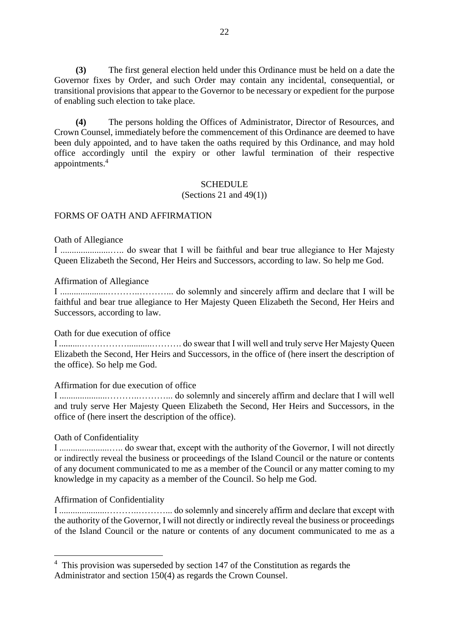**(3)** The first general election held under this Ordinance must be held on a date the Governor fixes by Order, and such Order may contain any incidental, consequential, or transitional provisions that appear to the Governor to be necessary or expedient for the purpose of enabling such election to take place.

**(4)** The persons holding the Offices of Administrator, Director of Resources, and Crown Counsel, immediately before the commencement of this Ordinance are deemed to have been duly appointed, and to have taken the oaths required by this Ordinance, and may hold office accordingly until the expiry or other lawful termination of their respective appointments.<sup>4</sup>

#### **SCHEDULE**

(Sections 21 and 49(1))

#### FORMS OF OATH AND AFFIRMATION

Oath of Allegiance

I ......................….. do swear that I will be faithful and bear true allegiance to Her Majesty Queen Elizabeth the Second, Her Heirs and Successors, according to law. So help me God.

Affirmation of Allegiance

I .....................………..………... do solemnly and sincerely affirm and declare that I will be faithful and bear true allegiance to Her Majesty Queen Elizabeth the Second, Her Heirs and Successors, according to law.

Oath for due execution of office

I ..........……………...........………. do swear that I will well and truly serve Her Majesty Queen Elizabeth the Second, Her Heirs and Successors, in the office of (here insert the description of the office). So help me God.

Affirmation for due execution of office

I .....................………..………... do solemnly and sincerely affirm and declare that I will well and truly serve Her Majesty Queen Elizabeth the Second, Her Heirs and Successors, in the office of (here insert the description of the office).

#### Oath of Confidentiality

1

I ......................….. do swear that, except with the authority of the Governor, I will not directly or indirectly reveal the business or proceedings of the Island Council or the nature or contents of any document communicated to me as a member of the Council or any matter coming to my knowledge in my capacity as a member of the Council. So help me God.

# Affirmation of Confidentiality

I .....................………..………... do solemnly and sincerely affirm and declare that except with the authority of the Governor, I will not directly or indirectly reveal the business or proceedings of the Island Council or the nature or contents of any document communicated to me as a

<sup>&</sup>lt;sup>4</sup> This provision was superseded by section 147 of the Constitution as regards the Administrator and section 150(4) as regards the Crown Counsel.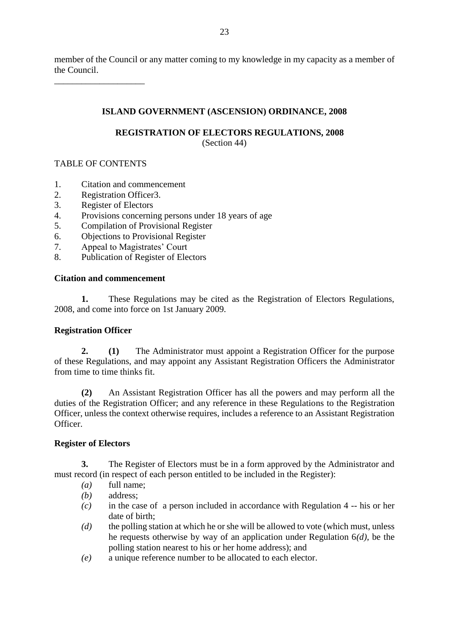member of the Council or any matter coming to my knowledge in my capacity as a member of the Council.

# **ISLAND GOVERNMENT (ASCENSION) ORDINANCE, 2008**

# **REGISTRATION OF ELECTORS REGULATIONS, 2008**

(Section 44)

# TABLE OF CONTENTS

\_\_\_\_\_\_\_\_\_\_\_\_\_\_\_\_\_\_\_\_

- 1. Citation and commencement
- 2. Registration Officer3.
- 3. Register of Electors
- 4. Provisions concerning persons under 18 years of age
- 5. Compilation of Provisional Register
- 6. Objections to Provisional Register
- 7. Appeal to Magistrates' Court
- 8. Publication of Register of Electors

# **Citation and commencement**

**1.** These Regulations may be cited as the Registration of Electors Regulations, 2008, and come into force on 1st January 2009.

# **Registration Officer**

**2. (1)** The Administrator must appoint a Registration Officer for the purpose of these Regulations, and may appoint any Assistant Registration Officers the Administrator from time to time thinks fit.

**(2)** An Assistant Registration Officer has all the powers and may perform all the duties of the Registration Officer; and any reference in these Regulations to the Registration Officer, unless the context otherwise requires, includes a reference to an Assistant Registration Officer.

# **Register of Electors**

**3.** The Register of Electors must be in a form approved by the Administrator and must record (in respect of each person entitled to be included in the Register):

- *(a)* full name;
- *(b)* address;
- *(c)* in the case of a person included in accordance with Regulation 4 -- his or her date of birth;
- *(d)* the polling station at which he or she will be allowed to vote (which must, unless he requests otherwise by way of an application under Regulation 6*(d)*, be the polling station nearest to his or her home address); and
- *(e)* a unique reference number to be allocated to each elector.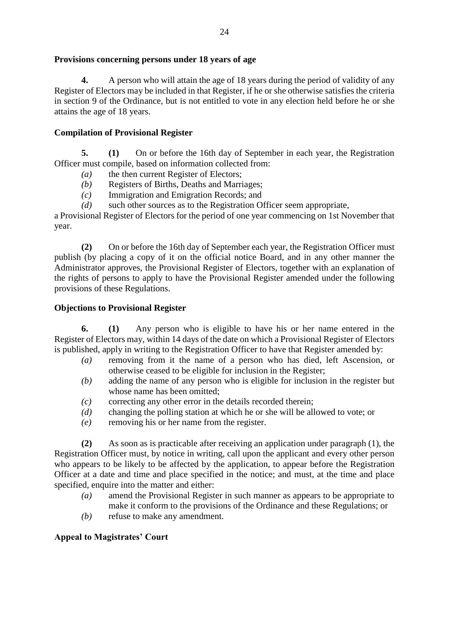# **Provisions concerning persons under 18 years of age**

**4.** A person who will attain the age of 18 years during the period of validity of any Register of Electors may be included in that Register, if he or she otherwise satisfies the criteria in section 9 of the Ordinance, but is not entitled to vote in any election held before he or she attains the age of 18 years.

# **Compilation of Provisional Register**

**5. (1)** On or before the 16th day of September in each year, the Registration Officer must compile, based on information collected from:

- *(a)* the then current Register of Electors;
- *(b)* Registers of Births, Deaths and Marriages;
- *(c)* Immigration and Emigration Records; and
- *(d)* such other sources as to the Registration Officer seem appropriate,

a Provisional Register of Electors for the period of one year commencing on 1st November that year.

**(2)** On or before the 16th day of September each year, the Registration Officer must publish (by placing a copy of it on the official notice Board, and in any other manner the Administrator approves, the Provisional Register of Electors, together with an explanation of the rights of persons to apply to have the Provisional Register amended under the following provisions of these Regulations.

## **Objections to Provisional Register**

**6. (1)** Any person who is eligible to have his or her name entered in the Register of Electors may, within 14 days of the date on which a Provisional Register of Electors is published, apply in writing to the Registration Officer to have that Register amended by:

- *(a)* removing from it the name of a person who has died, left Ascension, or otherwise ceased to be eligible for inclusion in the Register;
- *(b)* adding the name of any person who is eligible for inclusion in the register but whose name has been omitted;
- *(c)* correcting any other error in the details recorded therein;
- *(d)* changing the polling station at which he or she will be allowed to vote; or
- *(e)* removing his or her name from the register.

**(2)** As soon as is practicable after receiving an application under paragraph (1), the Registration Officer must, by notice in writing, call upon the applicant and every other person who appears to be likely to be affected by the application, to appear before the Registration Officer at a date and time and place specified in the notice; and must, at the time and place specified, enquire into the matter and either:

- *(a)* amend the Provisional Register in such manner as appears to be appropriate to make it conform to the provisions of the Ordinance and these Regulations; or
- *(b)* refuse to make any amendment.

# **Appeal to Magistrates' Court**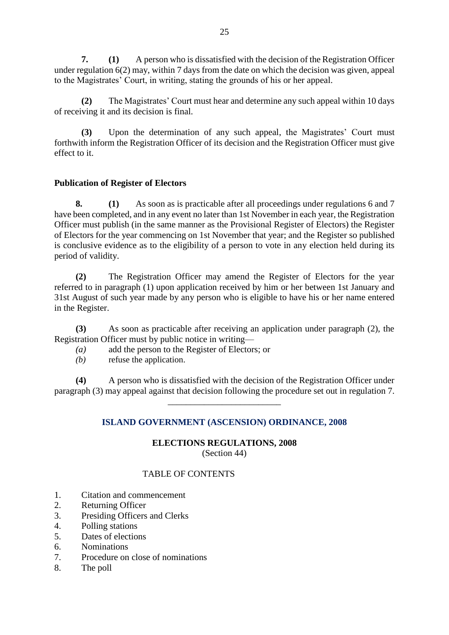**7. (1)** A person who is dissatisfied with the decision of the Registration Officer under regulation 6(2) may, within 7 days from the date on which the decision was given, appeal to the Magistrates' Court, in writing, stating the grounds of his or her appeal.

**(2)** The Magistrates' Court must hear and determine any such appeal within 10 days of receiving it and its decision is final.

**(3)** Upon the determination of any such appeal, the Magistrates' Court must forthwith inform the Registration Officer of its decision and the Registration Officer must give effect to it.

# **Publication of Register of Electors**

**8. (1)** As soon as is practicable after all proceedings under regulations 6 and 7 have been completed, and in any event no later than 1st November in each year, the Registration Officer must publish (in the same manner as the Provisional Register of Electors) the Register of Electors for the year commencing on 1st November that year; and the Register so published is conclusive evidence as to the eligibility of a person to vote in any election held during its period of validity.

**(2)** The Registration Officer may amend the Register of Electors for the year referred to in paragraph (1) upon application received by him or her between 1st January and 31st August of such year made by any person who is eligible to have his or her name entered in the Register.

**(3)** As soon as practicable after receiving an application under paragraph (2), the Registration Officer must by public notice in writing—

*(a)* add the person to the Register of Electors; or

*(b)* refuse the application.

**(4)** A person who is dissatisfied with the decision of the Registration Officer under paragraph (3) may appeal against that decision following the procedure set out in regulation 7.

\_\_\_\_\_\_\_\_\_\_\_\_\_\_\_\_\_\_\_\_\_\_\_\_\_

#### **ISLAND GOVERNMENT (ASCENSION) ORDINANCE, 2008**

#### **ELECTIONS REGULATIONS, 2008** (Section 44)

#### TABLE OF CONTENTS

- 1. Citation and commencement
- 2. Returning Officer
- 3. Presiding Officers and Clerks
- 4. Polling stations
- 5. Dates of elections
- 6. Nominations
- 7. Procedure on close of nominations
- 8. The poll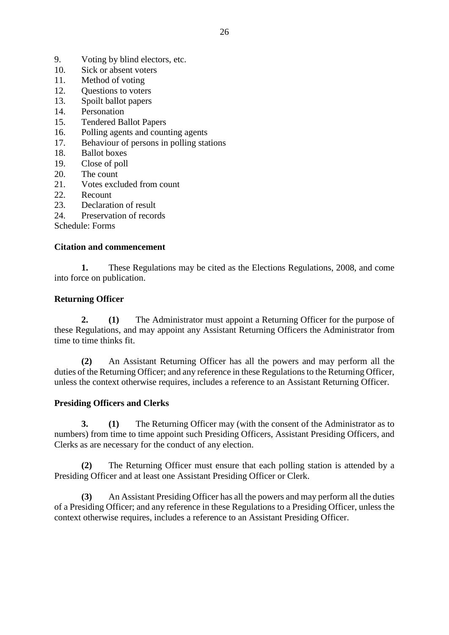- 9. Voting by blind electors, etc.
- 10. Sick or absent voters
- 11. Method of voting
- 12. Questions to voters
- 13. Spoilt ballot papers
- 14. Personation
- 15. Tendered Ballot Papers
- 16. Polling agents and counting agents
- 17. Behaviour of persons in polling stations
- 18. Ballot boxes
- 19. Close of poll
- 20. The count
- 21. Votes excluded from count
- 22. Recount
- 23. Declaration of result
- 24. Preservation of records

Schedule: Forms

#### **Citation and commencement**

**1.** These Regulations may be cited as the Elections Regulations, 2008, and come into force on publication.

#### **Returning Officer**

**2. (1)** The Administrator must appoint a Returning Officer for the purpose of these Regulations, and may appoint any Assistant Returning Officers the Administrator from time to time thinks fit.

**(2)** An Assistant Returning Officer has all the powers and may perform all the duties of the Returning Officer; and any reference in these Regulations to the Returning Officer, unless the context otherwise requires, includes a reference to an Assistant Returning Officer.

#### **Presiding Officers and Clerks**

**3. (1)** The Returning Officer may (with the consent of the Administrator as to numbers) from time to time appoint such Presiding Officers, Assistant Presiding Officers, and Clerks as are necessary for the conduct of any election.

**(2)** The Returning Officer must ensure that each polling station is attended by a Presiding Officer and at least one Assistant Presiding Officer or Clerk.

**(3)** An Assistant Presiding Officer has all the powers and may perform all the duties of a Presiding Officer; and any reference in these Regulations to a Presiding Officer, unless the context otherwise requires, includes a reference to an Assistant Presiding Officer.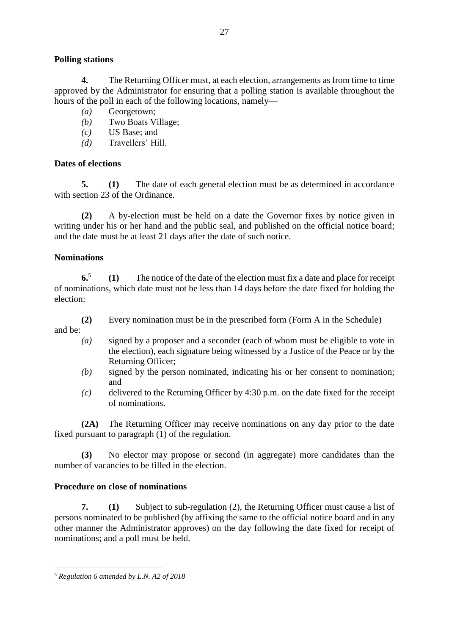# **Polling stations**

**4.** The Returning Officer must, at each election, arrangements as from time to time approved by the Administrator for ensuring that a polling station is available throughout the hours of the poll in each of the following locations, namely—

- *(a)* Georgetown;
- *(b)* Two Boats Village;
- *(c)* US Base; and
- *(d)* Travellers' Hill.

# **Dates of elections**

**5. (1)** The date of each general election must be as determined in accordance with section 23 of the Ordinance.

**(2)** A by-election must be held on a date the Governor fixes by notice given in writing under his or her hand and the public seal, and published on the official notice board; and the date must be at least 21 days after the date of such notice.

## **Nominations**

**6.**5 **(1)** The notice of the date of the election must fix a date and place for receipt of nominations, which date must not be less than 14 days before the date fixed for holding the election:

- **(2)** Every nomination must be in the prescribed form (Form A in the Schedule) and be:
	- *(a)* signed by a proposer and a seconder (each of whom must be eligible to vote in the election), each signature being witnessed by a Justice of the Peace or by the Returning Officer;
	- *(b)* signed by the person nominated, indicating his or her consent to nomination; and
	- *(c)* delivered to the Returning Officer by 4:30 p.m. on the date fixed for the receipt of nominations.

**(2A)** The Returning Officer may receive nominations on any day prior to the date fixed pursuant to paragraph (1) of the regulation.

**(3)** No elector may propose or second (in aggregate) more candidates than the number of vacancies to be filled in the election.

#### **Procedure on close of nominations**

**7. (1)** Subject to sub-regulation (2), the Returning Officer must cause a list of persons nominated to be published (by affixing the same to the official notice board and in any other manner the Administrator approves) on the day following the date fixed for receipt of nominations; and a poll must be held.

1

<sup>27</sup>

<sup>5</sup> *Regulation 6 amended by L.N. A2 of 2018*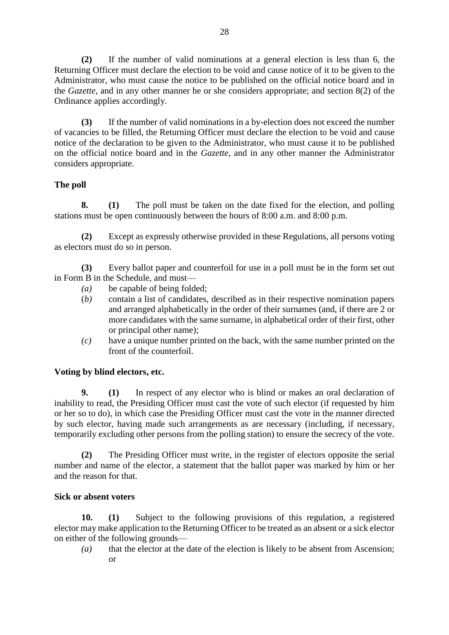**(2)** If the number of valid nominations at a general election is less than 6, the Returning Officer must declare the election to be void and cause notice of it to be given to the Administrator, who must cause the notice to be published on the official notice board and in the *Gazette*, and in any other manner he or she considers appropriate; and section 8(2) of the Ordinance applies accordingly.

**(3)** If the number of valid nominations in a by-election does not exceed the number of vacancies to be filled, the Returning Officer must declare the election to be void and cause notice of the declaration to be given to the Administrator, who must cause it to be published on the official notice board and in the *Gazette,* and in any other manner the Administrator considers appropriate.

# **The poll**

**8. (1)** The poll must be taken on the date fixed for the election, and polling stations must be open continuously between the hours of 8:00 a.m. and 8:00 p.m.

**(2)** Except as expressly otherwise provided in these Regulations, all persons voting as electors must do so in person.

**(3)** Every ballot paper and counterfoil for use in a poll must be in the form set out in Form B in the Schedule, and must—

- *(a)* be capable of being folded;
- (*b)* contain a list of candidates, described as in their respective nomination papers and arranged alphabetically in the order of their surnames (and, if there are 2 or more candidates with the same surname, in alphabetical order of their first, other or principal other name);
- *(c)* have a unique number printed on the back, with the same number printed on the front of the counterfoil.

# **Voting by blind electors, etc.**

**9. (1)** In respect of any elector who is blind or makes an oral declaration of inability to read, the Presiding Officer must cast the vote of such elector (if requested by him or her so to do), in which case the Presiding Officer must cast the vote in the manner directed by such elector, having made such arrangements as are necessary (including, if necessary, temporarily excluding other persons from the polling station) to ensure the secrecy of the vote.

**(2)** The Presiding Officer must write, in the register of electors opposite the serial number and name of the elector, a statement that the ballot paper was marked by him or her and the reason for that.

# **Sick or absent voters**

**10. (1)** Subject to the following provisions of this regulation, a registered elector may make application to the Returning Officer to be treated as an absent or a sick elector on either of the following grounds—

*(a)* that the elector at the date of the election is likely to be absent from Ascension; or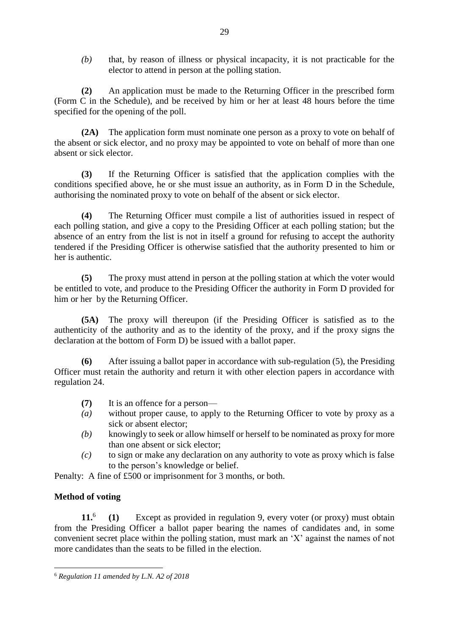*(b)* that, by reason of illness or physical incapacity, it is not practicable for the elector to attend in person at the polling station.

**(2)** An application must be made to the Returning Officer in the prescribed form (Form C in the Schedule), and be received by him or her at least 48 hours before the time specified for the opening of the poll.

**(2A)** The application form must nominate one person as a proxy to vote on behalf of the absent or sick elector, and no proxy may be appointed to vote on behalf of more than one absent or sick elector.

**(3)** If the Returning Officer is satisfied that the application complies with the conditions specified above, he or she must issue an authority, as in Form D in the Schedule, authorising the nominated proxy to vote on behalf of the absent or sick elector.

**(4)** The Returning Officer must compile a list of authorities issued in respect of each polling station, and give a copy to the Presiding Officer at each polling station; but the absence of an entry from the list is not in itself a ground for refusing to accept the authority tendered if the Presiding Officer is otherwise satisfied that the authority presented to him or her is authentic.

**(5)** The proxy must attend in person at the polling station at which the voter would be entitled to vote, and produce to the Presiding Officer the authority in Form D provided for him or her by the Returning Officer.

**(5A)** The proxy will thereupon (if the Presiding Officer is satisfied as to the authenticity of the authority and as to the identity of the proxy, and if the proxy signs the declaration at the bottom of Form D) be issued with a ballot paper.

**(6)** After issuing a ballot paper in accordance with sub-regulation (5), the Presiding Officer must retain the authority and return it with other election papers in accordance with regulation 24.

- **(7)** It is an offence for a person—
- *(a)* without proper cause, to apply to the Returning Officer to vote by proxy as a sick or absent elector;
- *(b)* knowingly to seek or allow himself or herself to be nominated as proxy for more than one absent or sick elector;
- *(c)* to sign or make any declaration on any authority to vote as proxy which is false to the person's knowledge or belief.

Penalty: A fine of £500 or imprisonment for 3 months, or both.

# **Method of voting**

1

**11.**<sup>6</sup> **(1)** Except as provided in regulation 9, every voter (or proxy) must obtain from the Presiding Officer a ballot paper bearing the names of candidates and, in some convenient secret place within the polling station, must mark an 'X' against the names of not more candidates than the seats to be filled in the election.

<sup>6</sup> *Regulation 11 amended by L.N. A2 of 2018*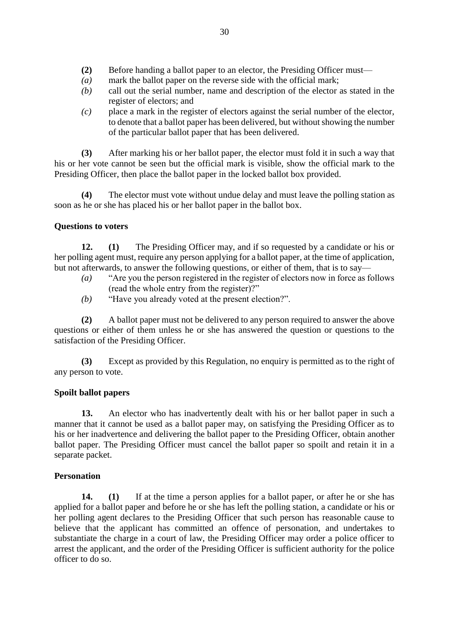- **(2)** Before handing a ballot paper to an elector, the Presiding Officer must—
- *(a)* mark the ballot paper on the reverse side with the official mark;
- *(b)* call out the serial number, name and description of the elector as stated in the register of electors; and
- *(c)* place a mark in the register of electors against the serial number of the elector, to denote that a ballot paper has been delivered, but without showing the number of the particular ballot paper that has been delivered.

**(3)** After marking his or her ballot paper, the elector must fold it in such a way that his or her vote cannot be seen but the official mark is visible, show the official mark to the Presiding Officer, then place the ballot paper in the locked ballot box provided.

**(4)** The elector must vote without undue delay and must leave the polling station as soon as he or she has placed his or her ballot paper in the ballot box.

#### **Questions to voters**

**12. (1)** The Presiding Officer may, and if so requested by a candidate or his or her polling agent must, require any person applying for a ballot paper, at the time of application, but not afterwards, to answer the following questions, or either of them, that is to say—

- *(a)* "Are you the person registered in the register of electors now in force as follows (read the whole entry from the register)?"
- *(b)* "Have you already voted at the present election?".

**(2)** A ballot paper must not be delivered to any person required to answer the above questions or either of them unless he or she has answered the question or questions to the satisfaction of the Presiding Officer.

**(3)** Except as provided by this Regulation, no enquiry is permitted as to the right of any person to vote.

#### **Spoilt ballot papers**

**13.** An elector who has inadvertently dealt with his or her ballot paper in such a manner that it cannot be used as a ballot paper may, on satisfying the Presiding Officer as to his or her inadvertence and delivering the ballot paper to the Presiding Officer, obtain another ballot paper. The Presiding Officer must cancel the ballot paper so spoilt and retain it in a separate packet.

#### **Personation**

**14. (1)** If at the time a person applies for a ballot paper, or after he or she has applied for a ballot paper and before he or she has left the polling station, a candidate or his or her polling agent declares to the Presiding Officer that such person has reasonable cause to believe that the applicant has committed an offence of personation, and undertakes to substantiate the charge in a court of law, the Presiding Officer may order a police officer to arrest the applicant, and the order of the Presiding Officer is sufficient authority for the police officer to do so.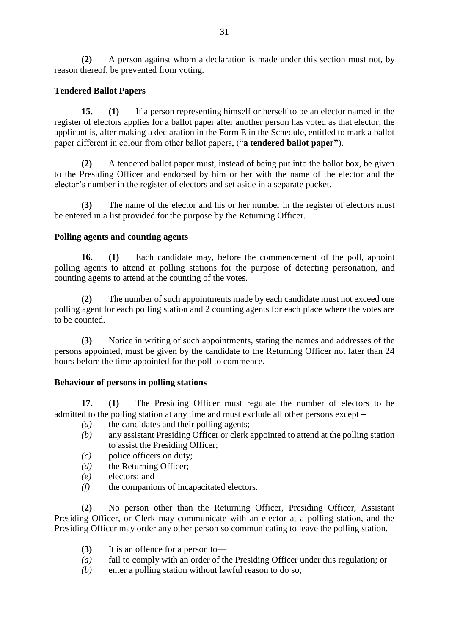**(2)** A person against whom a declaration is made under this section must not, by reason thereof, be prevented from voting.

# **Tendered Ballot Papers**

**15. (1)** If a person representing himself or herself to be an elector named in the register of electors applies for a ballot paper after another person has voted as that elector, the applicant is, after making a declaration in the Form E in the Schedule, entitled to mark a ballot paper different in colour from other ballot papers, ("**a tendered ballot paper"**).

**(2)** A tendered ballot paper must, instead of being put into the ballot box, be given to the Presiding Officer and endorsed by him or her with the name of the elector and the elector's number in the register of electors and set aside in a separate packet.

**(3)** The name of the elector and his or her number in the register of electors must be entered in a list provided for the purpose by the Returning Officer.

# **Polling agents and counting agents**

**16. (1)** Each candidate may, before the commencement of the poll, appoint polling agents to attend at polling stations for the purpose of detecting personation, and counting agents to attend at the counting of the votes.

**(2)** The number of such appointments made by each candidate must not exceed one polling agent for each polling station and 2 counting agents for each place where the votes are to be counted.

**(3)** Notice in writing of such appointments, stating the names and addresses of the persons appointed, must be given by the candidate to the Returning Officer not later than 24 hours before the time appointed for the poll to commence.

# **Behaviour of persons in polling stations**

**17. (1)** The Presiding Officer must regulate the number of electors to be admitted to the polling station at any time and must exclude all other persons except

- *(a)* the candidates and their polling agents;
- *(b)* any assistant Presiding Officer or clerk appointed to attend at the polling station to assist the Presiding Officer;
- *(c)* police officers on duty;
- *(d)* the Returning Officer;
- *(e)* electors; and
- *(f)* the companions of incapacitated electors.

**(2)** No person other than the Returning Officer, Presiding Officer, Assistant Presiding Officer, or Clerk may communicate with an elector at a polling station, and the Presiding Officer may order any other person so communicating to leave the polling station.

- **(3)** It is an offence for a person to—
- *(a)* fail to comply with an order of the Presiding Officer under this regulation; or
- *(b)* enter a polling station without lawful reason to do so,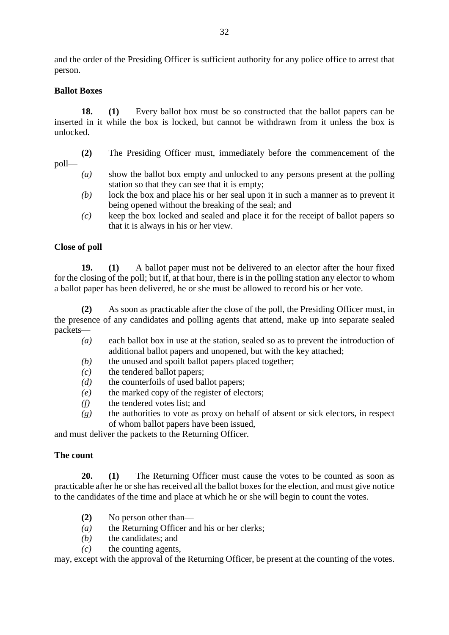and the order of the Presiding Officer is sufficient authority for any police office to arrest that person.

#### **Ballot Boxes**

**18. (1)** Every ballot box must be so constructed that the ballot papers can be inserted in it while the box is locked, but cannot be withdrawn from it unless the box is unlocked.

- **(2)** The Presiding Officer must, immediately before the commencement of the
- poll—
	- *(a)* show the ballot box empty and unlocked to any persons present at the polling station so that they can see that it is empty;
	- *(b)* lock the box and place his or her seal upon it in such a manner as to prevent it being opened without the breaking of the seal; and
	- *(c)* keep the box locked and sealed and place it for the receipt of ballot papers so that it is always in his or her view.

#### **Close of poll**

**19. (1)** A ballot paper must not be delivered to an elector after the hour fixed for the closing of the poll; but if, at that hour, there is in the polling station any elector to whom a ballot paper has been delivered, he or she must be allowed to record his or her vote.

**(2)** As soon as practicable after the close of the poll, the Presiding Officer must, in the presence of any candidates and polling agents that attend, make up into separate sealed packets—

- *(a)* each ballot box in use at the station, sealed so as to prevent the introduction of additional ballot papers and unopened, but with the key attached;
- *(b)* the unused and spoilt ballot papers placed together;
- *(c)* the tendered ballot papers;
- *(d)* the counterfoils of used ballot papers;
- *(e)* the marked copy of the register of electors;
- *(f)* the tendered votes list; and
- *(g)* the authorities to vote as proxy on behalf of absent or sick electors, in respect of whom ballot papers have been issued,

and must deliver the packets to the Returning Officer.

#### **The count**

**20. (1)** The Returning Officer must cause the votes to be counted as soon as practicable after he or she has received all the ballot boxes for the election, and must give notice to the candidates of the time and place at which he or she will begin to count the votes.

- **(2)** No person other than—
- *(a)* the Returning Officer and his or her clerks;
- *(b)* the candidates; and
- *(c)* the counting agents,

may, except with the approval of the Returning Officer, be present at the counting of the votes.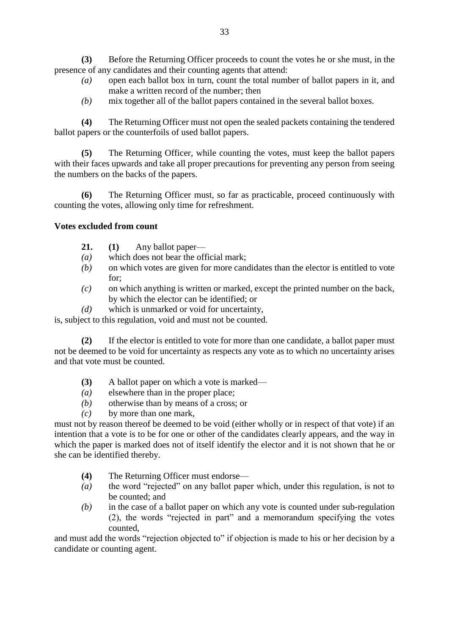**(3)** Before the Returning Officer proceeds to count the votes he or she must, in the presence of any candidates and their counting agents that attend:

- *(a)* open each ballot box in turn, count the total number of ballot papers in it, and make a written record of the number; then
- *(b)* mix together all of the ballot papers contained in the several ballot boxes.

**(4)** The Returning Officer must not open the sealed packets containing the tendered ballot papers or the counterfoils of used ballot papers.

**(5)** The Returning Officer, while counting the votes, must keep the ballot papers with their faces upwards and take all proper precautions for preventing any person from seeing the numbers on the backs of the papers.

**(6)** The Returning Officer must, so far as practicable, proceed continuously with counting the votes, allowing only time for refreshment.

## **Votes excluded from count**

- **21. (1)** Any ballot paper—
- *(a)* which does not bear the official mark;
- *(b)* on which votes are given for more candidates than the elector is entitled to vote for;
- *(c)* on which anything is written or marked, except the printed number on the back, by which the elector can be identified; or
- *(d)* which is unmarked or void for uncertainty,

is, subject to this regulation, void and must not be counted.

**(2)** If the elector is entitled to vote for more than one candidate, a ballot paper must not be deemed to be void for uncertainty as respects any vote as to which no uncertainty arises and that vote must be counted.

- **(3)** A ballot paper on which a vote is marked—
- *(a)* elsewhere than in the proper place;
- *(b)* otherwise than by means of a cross; or
- *(c)* by more than one mark,

must not by reason thereof be deemed to be void (either wholly or in respect of that vote) if an intention that a vote is to be for one or other of the candidates clearly appears, and the way in which the paper is marked does not of itself identify the elector and it is not shown that he or she can be identified thereby.

- **(4)** The Returning Officer must endorse—
- *(a)* the word "rejected" on any ballot paper which, under this regulation, is not to be counted; and
- *(b)* in the case of a ballot paper on which any vote is counted under sub-regulation (2), the words "rejected in part" and a memorandum specifying the votes counted,

and must add the words "rejection objected to" if objection is made to his or her decision by a candidate or counting agent.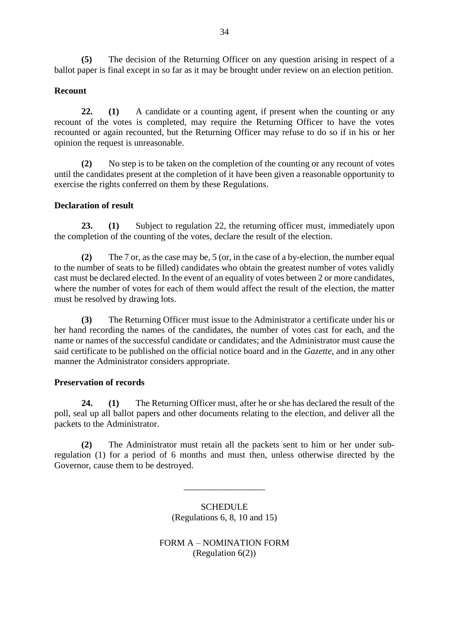**(5)** The decision of the Returning Officer on any question arising in respect of a ballot paper is final except in so far as it may be brought under review on an election petition.

## **Recount**

**22. (1)** A candidate or a counting agent, if present when the counting or any recount of the votes is completed, may require the Returning Officer to have the votes recounted or again recounted, but the Returning Officer may refuse to do so if in his or her opinion the request is unreasonable.

**(2)** No step is to be taken on the completion of the counting or any recount of votes until the candidates present at the completion of it have been given a reasonable opportunity to exercise the rights conferred on them by these Regulations.

#### **Declaration of result**

**23. (1)** Subject to regulation 22, the returning officer must, immediately upon the completion of the counting of the votes, declare the result of the election.

**(2)** The 7 or, as the case may be, 5 (or, in the case of a by-election, the number equal to the number of seats to be filled) candidates who obtain the greatest number of votes validly cast must be declared elected. In the event of an equality of votes between 2 or more candidates, where the number of votes for each of them would affect the result of the election, the matter must be resolved by drawing lots.

**(3)** The Returning Officer must issue to the Administrator a certificate under his or her hand recording the names of the candidates, the number of votes cast for each, and the name or names of the successful candidate or candidates; and the Administrator must cause the said certificate to be published on the official notice board and in the *Gazette*, and in any other manner the Administrator considers appropriate.

#### **Preservation of records**

**24. (1)** The Returning Officer must, after he or she has declared the result of the poll, seal up all ballot papers and other documents relating to the election, and deliver all the packets to the Administrator.

**(2)** The Administrator must retain all the packets sent to him or her under subregulation (1) for a period of 6 months and must then, unless otherwise directed by the Governor, cause them to be destroyed.

> **SCHEDULE** (Regulations 6, 8, 10 and 15)

\_\_\_\_\_\_\_\_\_\_\_\_\_\_\_\_\_\_

FORM A – NOMINATION FORM (Regulation 6(2))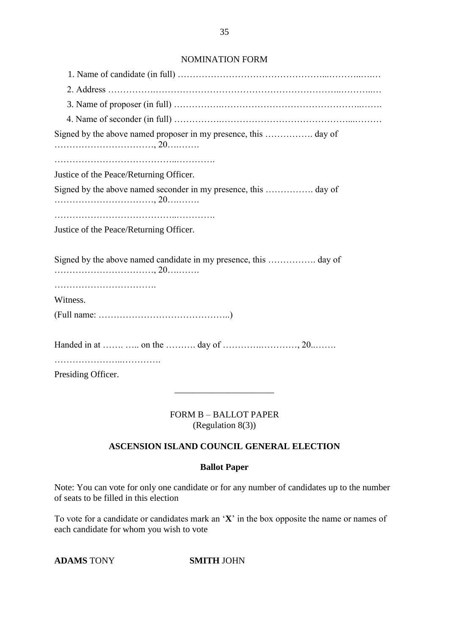#### NOMINATION FORM

| Justice of the Peace/Returning Officer.                                                                   |
|-----------------------------------------------------------------------------------------------------------|
|                                                                                                           |
| Justice of the Peace/Returning Officer.                                                                   |
|                                                                                                           |
|                                                                                                           |
| Witness.                                                                                                  |
| $(Full name: \ldots \ldots \ldots \ldots \ldots \ldots \ldots \ldots \ldots \ldots \ldots \ldots \ldots)$ |
|                                                                                                           |
| Presiding Officer.                                                                                        |

FORM B – BALLOT PAPER (Regulation 8(3))

\_\_\_\_\_\_\_\_\_\_\_\_\_\_\_\_\_\_\_\_\_\_

#### **ASCENSION ISLAND COUNCIL GENERAL ELECTION**

## **Ballot Paper**

Note: You can vote for only one candidate or for any number of candidates up to the number of seats to be filled in this election

To vote for a candidate or candidates mark an '**X**' in the box opposite the name or names of each candidate for whom you wish to vote

**ADAMS** TONY **SMITH** JOHN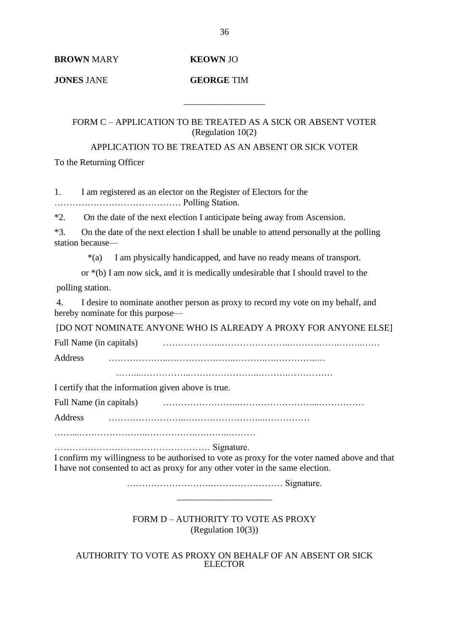**BROWN** MARY **KEOWN** JO

**JONES** JANE **GEORGE** TIM

FORM C – APPLICATION TO BE TREATED AS A SICK OR ABSENT VOTER (Regulation 10(2)

\_\_\_\_\_\_\_\_\_\_\_\_\_\_\_\_\_\_

APPLICATION TO BE TREATED AS AN ABSENT OR SICK VOTER To the Returning Officer

1. I am registered as an elector on the Register of Electors for the …………………………………… Polling Station.

\*2. On the date of the next election I anticipate being away from Ascension.

\*3. On the date of the next election I shall be unable to attend personally at the polling station because—

\*(a) I am physically handicapped, and have no ready means of transport.

or \*(b) I am now sick, and it is medically undesirable that I should travel to the

polling station.

4. I desire to nominate another person as proxy to record my vote on my behalf, and hereby nominate for this purpose—

[DO NOT NOMINATE ANYONE WHO IS ALREADY A PROXY FOR ANYONE ELSE]

Full Name (in capitals) ………………..…………………..……….…….……..……

Address ………………..…………………..……….….…………..…

……...……………..…………………..……….……………

I certify that the information given above is true.

Full Name (in capitals) ……………………..……………………...……………

Address ……………………..……………………...……………

……...…………………..…………….….……..………

……………………….…………………… Signature.

I confirm my willingness to be authorised to vote as proxy for the voter named above and that I have not consented to act as proxy for any other voter in the same election.

> ……………………….…………………… Signature. \_\_\_\_\_\_\_\_\_\_\_\_\_\_\_\_\_\_\_\_\_

FORM D – AUTHORITY TO VOTE AS PROXY (Regulation 10(3))

AUTHORITY TO VOTE AS PROXY ON BEHALF OF AN ABSENT OR SICK ELECTOR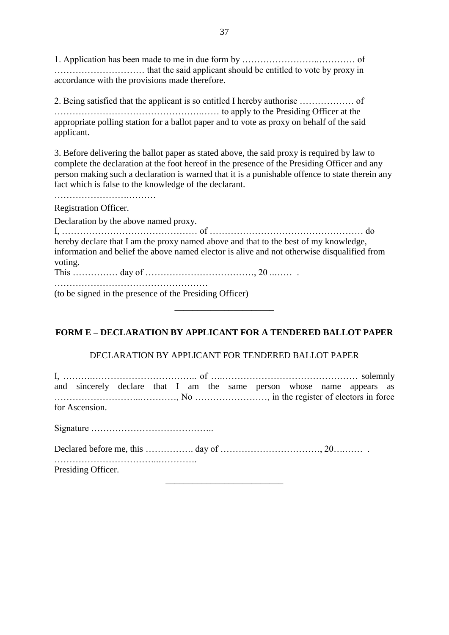1. Application has been made to me in due form by ……………………..………… of ………………………… that the said applicant should be entitled to vote by proxy in accordance with the provisions made therefore.

2. Being satisfied that the applicant is so entitled I hereby authorise ……………… of ………………………………………….…… to apply to the Presiding Officer at the appropriate polling station for a ballot paper and to vote as proxy on behalf of the said applicant.

3. Before delivering the ballot paper as stated above, the said proxy is required by law to complete the declaration at the foot hereof in the presence of the Presiding Officer and any person making such a declaration is warned that it is a punishable offence to state therein any fact which is false to the knowledge of the declarant.

Registration Officer.

…………………….………

Declaration by the above named proxy.

|         | hereby declare that I am the proxy named above and that to the best of my knowledge,        |  |  |
|---------|---------------------------------------------------------------------------------------------|--|--|
|         | information and belief the above named elector is alive and not otherwise disqualified from |  |  |
| voting. |                                                                                             |  |  |
|         |                                                                                             |  |  |

……………………………………………

(to be signed in the presence of the Presiding Officer)

# **FORM E – DECLARATION BY APPLICANT FOR A TENDERED BALLOT PAPER**

\_\_\_\_\_\_\_\_\_\_\_\_\_\_\_\_\_\_\_\_\_\_

# DECLARATION BY APPLICANT FOR TENDERED BALLOT PAPER

| and sincerely declare that I am the same person whose name appears as |  |  |  |  |  |  |  |  |  |  |
|-----------------------------------------------------------------------|--|--|--|--|--|--|--|--|--|--|
| for Ascension.                                                        |  |  |  |  |  |  |  |  |  |  |
|                                                                       |  |  |  |  |  |  |  |  |  |  |
|                                                                       |  |  |  |  |  |  |  |  |  |  |
| Presiding Officer.                                                    |  |  |  |  |  |  |  |  |  |  |
|                                                                       |  |  |  |  |  |  |  |  |  |  |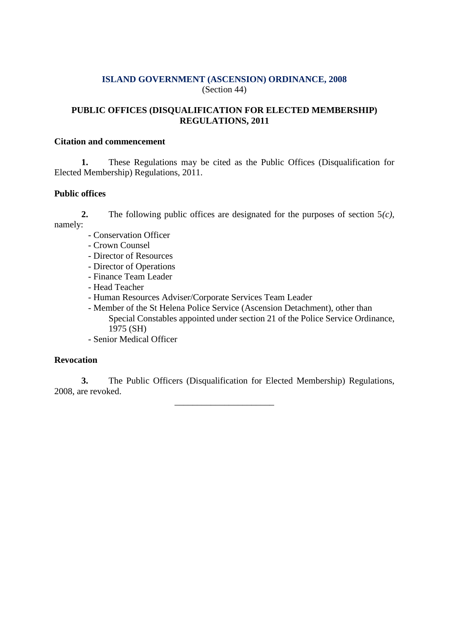# **ISLAND GOVERNMENT (ASCENSION) ORDINANCE, 2008** (Section 44)

# **PUBLIC OFFICES (DISQUALIFICATION FOR ELECTED MEMBERSHIP) REGULATIONS, 2011**

#### **Citation and commencement**

**1.** These Regulations may be cited as the Public Offices (Disqualification for Elected Membership) Regulations, 2011.

# **Public offices**

- **2.** The following public offices are designated for the purposes of section 5*(c)*, namely:
	- Conservation Officer
	- Crown Counsel
	- Director of Resources
	- Director of Operations
	- Finance Team Leader
	- Head Teacher
	- Human Resources Adviser/Corporate Services Team Leader
	- Member of the St Helena Police Service (Ascension Detachment), other than Special Constables appointed under section 21 of the Police Service Ordinance, 1975 (SH)
	- Senior Medical Officer

# **Revocation**

**3.** The Public Officers (Disqualification for Elected Membership) Regulations, 2008, are revoked.

\_\_\_\_\_\_\_\_\_\_\_\_\_\_\_\_\_\_\_\_\_\_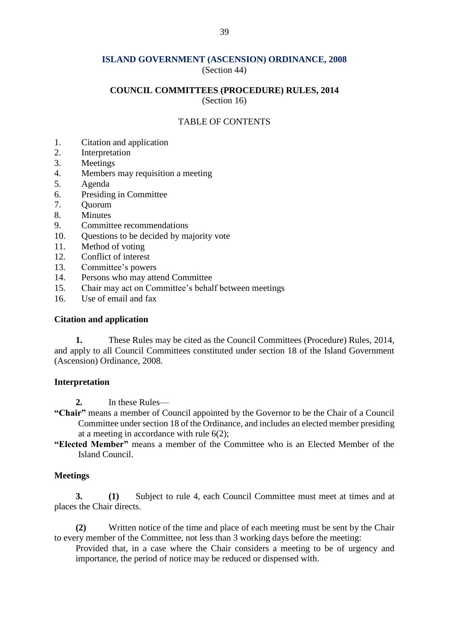#### **ISLAND GOVERNMENT (ASCENSION) ORDINANCE, 2008** (Section 44)

#### **COUNCIL COMMITTEES (PROCEDURE) RULES, 2014**

(Section 16)

#### TABLE OF CONTENTS

- 1. Citation and application
- 2. Interpretation
- 3. Meetings
- 4. Members may requisition a meeting
- 5. Agenda
- 6. Presiding in Committee
- 7. Quorum
- 8. Minutes
- 9. Committee recommendations
- 10. Questions to be decided by majority vote
- 11. Method of voting
- 12. Conflict of interest
- 13. Committee's powers
- 14. Persons who may attend Committee
- 15. Chair may act on Committee's behalf between meetings
- 16. Use of email and fax

## **Citation and application**

**1.** These Rules may be cited as the Council Committees (Procedure) Rules, 2014, and apply to all Council Committees constituted under section 18 of the Island Government (Ascension) Ordinance, 2008.

#### **Interpretation**

**2.** In these Rules—

- **"Chair"** means a member of Council appointed by the Governor to be the Chair of a Council Committee under section 18 of the Ordinance, and includes an elected member presiding at a meeting in accordance with rule 6(2);
- **"Elected Member"** means a member of the Committee who is an Elected Member of the Island Council.

#### **Meetings**

**3. (1)** Subject to rule 4, each Council Committee must meet at times and at places the Chair directs.

**(2)** Written notice of the time and place of each meeting must be sent by the Chair to every member of the Committee, not less than 3 working days before the meeting:

Provided that, in a case where the Chair considers a meeting to be of urgency and importance, the period of notice may be reduced or dispensed with.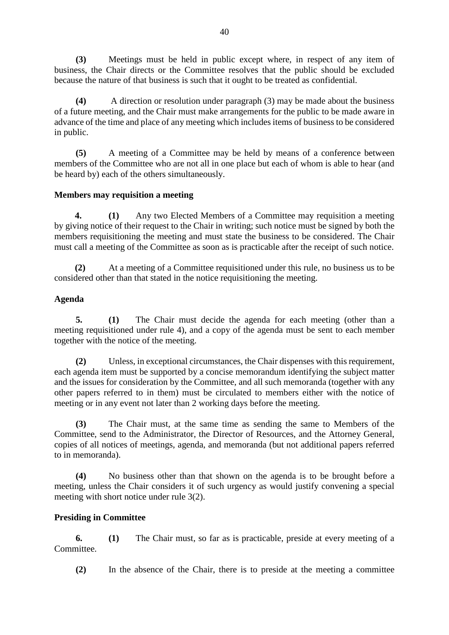**(3)** Meetings must be held in public except where, in respect of any item of business, the Chair directs or the Committee resolves that the public should be excluded because the nature of that business is such that it ought to be treated as confidential.

**(4)** A direction or resolution under paragraph (3) may be made about the business of a future meeting, and the Chair must make arrangements for the public to be made aware in advance of the time and place of any meeting which includes items of business to be considered in public.

**(5)** A meeting of a Committee may be held by means of a conference between members of the Committee who are not all in one place but each of whom is able to hear (and be heard by) each of the others simultaneously.

## **Members may requisition a meeting**

**4. (1)** Any two Elected Members of a Committee may requisition a meeting by giving notice of their request to the Chair in writing; such notice must be signed by both the members requisitioning the meeting and must state the business to be considered. The Chair must call a meeting of the Committee as soon as is practicable after the receipt of such notice.

**(2)** At a meeting of a Committee requisitioned under this rule, no business us to be considered other than that stated in the notice requisitioning the meeting.

## **Agenda**

**5. (1)** The Chair must decide the agenda for each meeting (other than a meeting requisitioned under rule 4), and a copy of the agenda must be sent to each member together with the notice of the meeting.

**(2)** Unless, in exceptional circumstances, the Chair dispenses with this requirement, each agenda item must be supported by a concise memorandum identifying the subject matter and the issues for consideration by the Committee, and all such memoranda (together with any other papers referred to in them) must be circulated to members either with the notice of meeting or in any event not later than 2 working days before the meeting.

**(3)** The Chair must, at the same time as sending the same to Members of the Committee, send to the Administrator, the Director of Resources, and the Attorney General, copies of all notices of meetings, agenda, and memoranda (but not additional papers referred to in memoranda).

**(4)** No business other than that shown on the agenda is to be brought before a meeting, unless the Chair considers it of such urgency as would justify convening a special meeting with short notice under rule 3(2).

# **Presiding in Committee**

**6. (1)** The Chair must, so far as is practicable, preside at every meeting of a Committee.

**(2)** In the absence of the Chair, there is to preside at the meeting a committee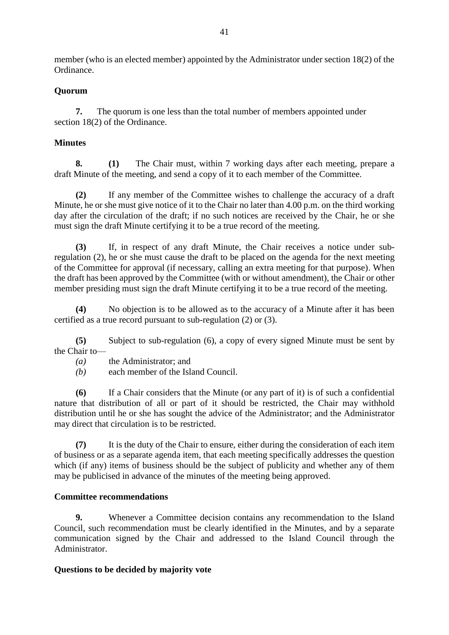member (who is an elected member) appointed by the Administrator under section 18(2) of the Ordinance.

# **Quorum**

**7.** The quorum is one less than the total number of members appointed under section 18(2) of the Ordinance.

# **Minutes**

**8. (1)** The Chair must, within 7 working days after each meeting, prepare a draft Minute of the meeting, and send a copy of it to each member of the Committee.

**(2)** If any member of the Committee wishes to challenge the accuracy of a draft Minute, he or she must give notice of it to the Chair no later than 4.00 p.m. on the third working day after the circulation of the draft; if no such notices are received by the Chair, he or she must sign the draft Minute certifying it to be a true record of the meeting.

**(3)** If, in respect of any draft Minute, the Chair receives a notice under subregulation (2), he or she must cause the draft to be placed on the agenda for the next meeting of the Committee for approval (if necessary, calling an extra meeting for that purpose). When the draft has been approved by the Committee (with or without amendment), the Chair or other member presiding must sign the draft Minute certifying it to be a true record of the meeting.

**(4)** No objection is to be allowed as to the accuracy of a Minute after it has been certified as a true record pursuant to sub-regulation (2) or (3).

**(5)** Subject to sub-regulation (6), a copy of every signed Minute must be sent by the Chair to—

*(a)* the Administrator; and

*(b)* each member of the Island Council.

**(6)** If a Chair considers that the Minute (or any part of it) is of such a confidential nature that distribution of all or part of it should be restricted, the Chair may withhold distribution until he or she has sought the advice of the Administrator; and the Administrator may direct that circulation is to be restricted.

**(7)** It is the duty of the Chair to ensure, either during the consideration of each item of business or as a separate agenda item, that each meeting specifically addresses the question which (if any) items of business should be the subject of publicity and whether any of them may be publicised in advance of the minutes of the meeting being approved.

# **Committee recommendations**

**9.** Whenever a Committee decision contains any recommendation to the Island Council, such recommendation must be clearly identified in the Minutes, and by a separate communication signed by the Chair and addressed to the Island Council through the Administrator.

#### **Questions to be decided by majority vote**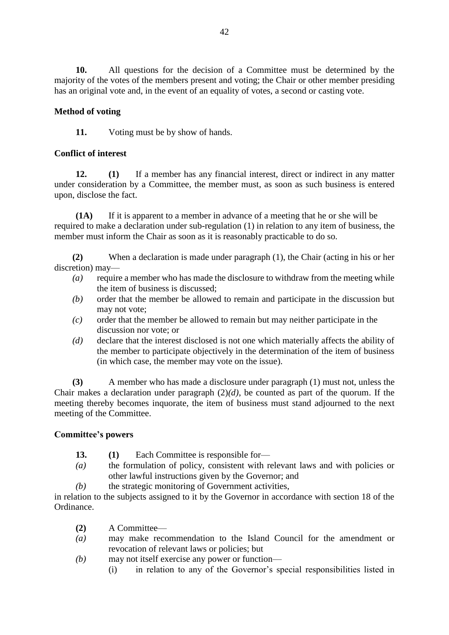**10.** All questions for the decision of a Committee must be determined by the majority of the votes of the members present and voting; the Chair or other member presiding has an original vote and, in the event of an equality of votes, a second or casting vote.

# **Method of voting**

**11.** Voting must be by show of hands.

#### **Conflict of interest**

**12. (1)** If a member has any financial interest, direct or indirect in any matter under consideration by a Committee, the member must, as soon as such business is entered upon, disclose the fact.

**(1A)** If it is apparent to a member in advance of a meeting that he or she will be required to make a declaration under sub-regulation (1) in relation to any item of business, the member must inform the Chair as soon as it is reasonably practicable to do so.

 **(2)** When a declaration is made under paragraph (1), the Chair (acting in his or her discretion) may—

- *(a)* require a member who has made the disclosure to withdraw from the meeting while the item of business is discussed;
- *(b)* order that the member be allowed to remain and participate in the discussion but may not vote;
- *(c)* order that the member be allowed to remain but may neither participate in the discussion nor vote; or
- *(d)* declare that the interest disclosed is not one which materially affects the ability of the member to participate objectively in the determination of the item of business (in which case, the member may vote on the issue).

**(3)** A member who has made a disclosure under paragraph (1) must not, unless the Chair makes a declaration under paragraph  $(2)(d)$ , be counted as part of the quorum. If the meeting thereby becomes inquorate, the item of business must stand adjourned to the next meeting of the Committee.

#### **Committee's powers**

- **13. (1)** Each Committee is responsible for—
- *(a)* the formulation of policy, consistent with relevant laws and with policies or other lawful instructions given by the Governor; and
- *(b)* the strategic monitoring of Government activities,

in relation to the subjects assigned to it by the Governor in accordance with section 18 of the Ordinance.

- **(2)** A Committee—
- *(a)* may make recommendation to the Island Council for the amendment or revocation of relevant laws or policies; but
- *(b)* may not itself exercise any power or function—
	- (i) in relation to any of the Governor's special responsibilities listed in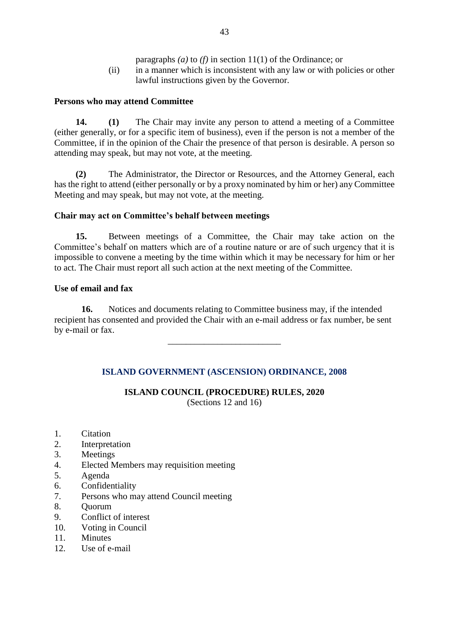- paragraphs *(a)* to *(f)* in section 11(1) of the Ordinance; or
- (ii) in a manner which is inconsistent with any law or with policies or other lawful instructions given by the Governor.

## **Persons who may attend Committee**

**14. (1)** The Chair may invite any person to attend a meeting of a Committee (either generally, or for a specific item of business), even if the person is not a member of the Committee, if in the opinion of the Chair the presence of that person is desirable. A person so attending may speak, but may not vote, at the meeting.

**(2)** The Administrator, the Director or Resources, and the Attorney General, each has the right to attend (either personally or by a proxy nominated by him or her) any Committee Meeting and may speak, but may not vote, at the meeting.

## **Chair may act on Committee's behalf between meetings**

**15.** Between meetings of a Committee, the Chair may take action on the Committee's behalf on matters which are of a routine nature or are of such urgency that it is impossible to convene a meeting by the time within which it may be necessary for him or her to act. The Chair must report all such action at the next meeting of the Committee.

## **Use of email and fax**

**16.** Notices and documents relating to Committee business may, if the intended recipient has consented and provided the Chair with an e-mail address or fax number, be sent by e-mail or fax.

\_\_\_\_\_\_\_\_\_\_\_\_\_\_\_\_\_\_\_\_\_\_\_\_\_

# **ISLAND GOVERNMENT (ASCENSION) ORDINANCE, 2008**

# **ISLAND COUNCIL (PROCEDURE) RULES, 2020**

(Sections 12 and 16)

- 1. Citation
- 2. Interpretation
- 3. Meetings
- 4. Elected Members may requisition meeting
- 5. Agenda
- 6. Confidentiality
- 7. Persons who may attend Council meeting
- 8. Quorum
- 9. Conflict of interest
- 10. Voting in Council
- 11. Minutes
- 12. Use of e-mail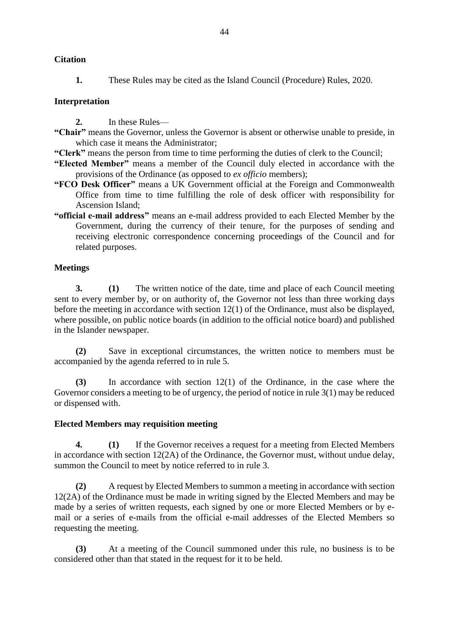**1.** These Rules may be cited as the Island Council (Procedure) Rules, 2020.

# **Interpretation**

- **2.** In these Rules—
- **"Chair"** means the Governor, unless the Governor is absent or otherwise unable to preside, in which case it means the Administrator;
- **"Clerk"** means the person from time to time performing the duties of clerk to the Council;
- **"Elected Member"** means a member of the Council duly elected in accordance with the provisions of the Ordinance (as opposed to *ex officio* members);
- **"FCO Desk Officer"** means a UK Government official at the Foreign and Commonwealth Office from time to time fulfilling the role of desk officer with responsibility for Ascension Island;
- **"official e-mail address"** means an e-mail address provided to each Elected Member by the Government, during the currency of their tenure, for the purposes of sending and receiving electronic correspondence concerning proceedings of the Council and for related purposes.

#### **Meetings**

**3. (1)** The written notice of the date, time and place of each Council meeting sent to every member by, or on authority of, the Governor not less than three working days before the meeting in accordance with section 12(1) of the Ordinance, must also be displayed, where possible, on public notice boards (in addition to the official notice board) and published in the Islander newspaper.

**(2)** Save in exceptional circumstances, the written notice to members must be accompanied by the agenda referred to in rule 5.

**(3)** In accordance with section 12(1) of the Ordinance, in the case where the Governor considers a meeting to be of urgency, the period of notice in rule 3(1) may be reduced or dispensed with.

#### **Elected Members may requisition meeting**

**4. (1)** If the Governor receives a request for a meeting from Elected Members in accordance with section 12(2A) of the Ordinance, the Governor must, without undue delay, summon the Council to meet by notice referred to in rule 3.

**(2)** A request by Elected Members to summon a meeting in accordance with section 12(2A) of the Ordinance must be made in writing signed by the Elected Members and may be made by a series of written requests, each signed by one or more Elected Members or by email or a series of e-mails from the official e-mail addresses of the Elected Members so requesting the meeting.

**(3)** At a meeting of the Council summoned under this rule, no business is to be considered other than that stated in the request for it to be held.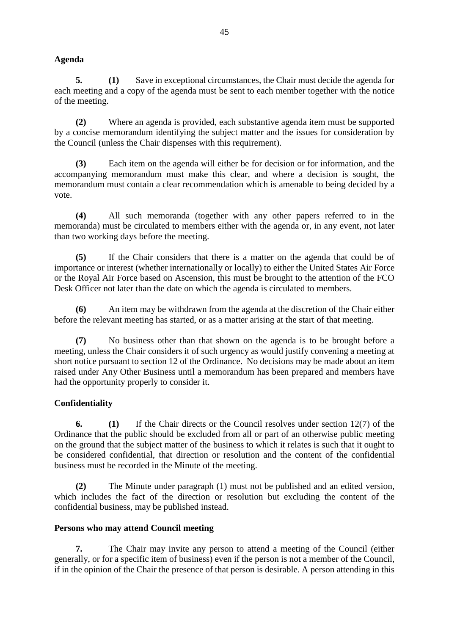# **Agenda**

**5. (1)** Save in exceptional circumstances, the Chair must decide the agenda for each meeting and a copy of the agenda must be sent to each member together with the notice of the meeting.

**(2)** Where an agenda is provided, each substantive agenda item must be supported by a concise memorandum identifying the subject matter and the issues for consideration by the Council (unless the Chair dispenses with this requirement).

**(3)** Each item on the agenda will either be for decision or for information, and the accompanying memorandum must make this clear, and where a decision is sought, the memorandum must contain a clear recommendation which is amenable to being decided by a vote.

**(4)** All such memoranda (together with any other papers referred to in the memoranda) must be circulated to members either with the agenda or, in any event, not later than two working days before the meeting.

**(5)** If the Chair considers that there is a matter on the agenda that could be of importance or interest (whether internationally or locally) to either the United States Air Force or the Royal Air Force based on Ascension, this must be brought to the attention of the FCO Desk Officer not later than the date on which the agenda is circulated to members.

**(6)** An item may be withdrawn from the agenda at the discretion of the Chair either before the relevant meeting has started, or as a matter arising at the start of that meeting.

**(7)** No business other than that shown on the agenda is to be brought before a meeting, unless the Chair considers it of such urgency as would justify convening a meeting at short notice pursuant to section 12 of the Ordinance. No decisions may be made about an item raised under Any Other Business until a memorandum has been prepared and members have had the opportunity properly to consider it.

# **Confidentiality**

**6. (1)** If the Chair directs or the Council resolves under section 12(7) of the Ordinance that the public should be excluded from all or part of an otherwise public meeting on the ground that the subject matter of the business to which it relates is such that it ought to be considered confidential, that direction or resolution and the content of the confidential business must be recorded in the Minute of the meeting.

**(2)** The Minute under paragraph (1) must not be published and an edited version, which includes the fact of the direction or resolution but excluding the content of the confidential business, may be published instead.

# **Persons who may attend Council meeting**

**7.** The Chair may invite any person to attend a meeting of the Council (either generally, or for a specific item of business) even if the person is not a member of the Council, if in the opinion of the Chair the presence of that person is desirable. A person attending in this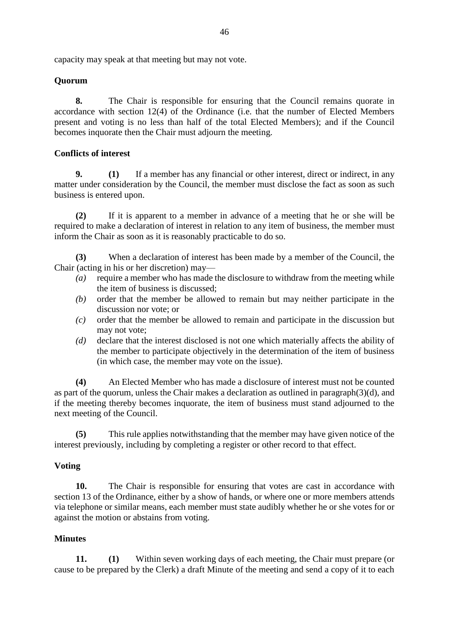capacity may speak at that meeting but may not vote.

## **Quorum**

**8.** The Chair is responsible for ensuring that the Council remains quorate in accordance with section 12(4) of the Ordinance (i.e. that the number of Elected Members present and voting is no less than half of the total Elected Members); and if the Council becomes inquorate then the Chair must adjourn the meeting.

## **Conflicts of interest**

**9. (1)** If a member has any financial or other interest, direct or indirect, in any matter under consideration by the Council, the member must disclose the fact as soon as such business is entered upon.

**(2)** If it is apparent to a member in advance of a meeting that he or she will be required to make a declaration of interest in relation to any item of business, the member must inform the Chair as soon as it is reasonably practicable to do so.

**(3)** When a declaration of interest has been made by a member of the Council, the Chair (acting in his or her discretion) may—

- *(a)* require a member who has made the disclosure to withdraw from the meeting while the item of business is discussed;
- *(b)* order that the member be allowed to remain but may neither participate in the discussion nor vote; or
- *(c)* order that the member be allowed to remain and participate in the discussion but may not vote;
- *(d)* declare that the interest disclosed is not one which materially affects the ability of the member to participate objectively in the determination of the item of business (in which case, the member may vote on the issue).

**(4)** An Elected Member who has made a disclosure of interest must not be counted as part of the quorum, unless the Chair makes a declaration as outlined in paragraph(3)(d), and if the meeting thereby becomes inquorate, the item of business must stand adjourned to the next meeting of the Council.

**(5)** This rule applies notwithstanding that the member may have given notice of the interest previously, including by completing a register or other record to that effect.

# **Voting**

**10.** The Chair is responsible for ensuring that votes are cast in accordance with section 13 of the Ordinance, either by a show of hands, or where one or more members attends via telephone or similar means, each member must state audibly whether he or she votes for or against the motion or abstains from voting.

#### **Minutes**

**11. (1)** Within seven working days of each meeting, the Chair must prepare (or cause to be prepared by the Clerk) a draft Minute of the meeting and send a copy of it to each